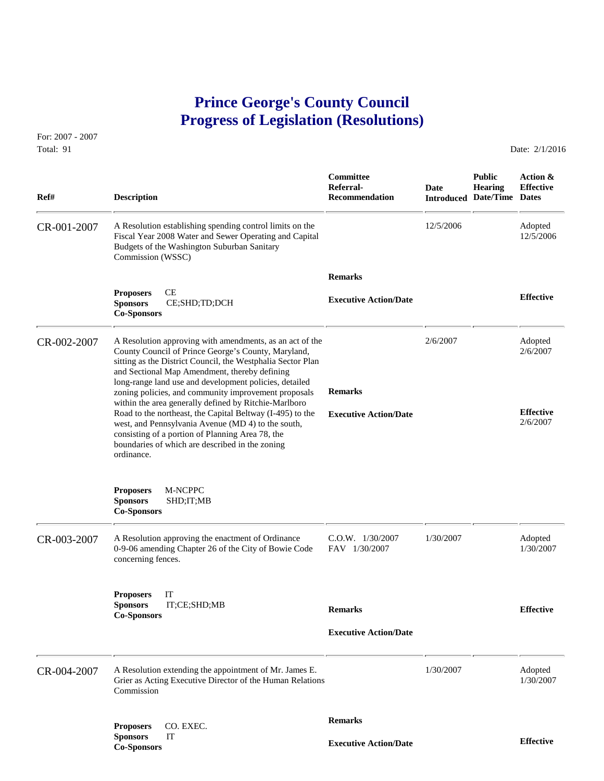## **Prince George's County Council Progress of Legislation (Resolutions)**

For: 2007 - 2007 Total: 91 Date: 2/1/2016

 **Committee Public Action & Referral- Date Hearing Effective Ref# Description Recommendation Introduced Date/Time Dates** CR-001-2007 A Resolution establishing spending control limits on the 12/5/2006 Adopted Fiscal Year 2008 Water and Sewer Operating and Capital 12/5/2006 12/5/2006 Fiscal Year 2008 Water and Sewer Operating and Capital Budgets of the Washington Suburban Sanitary Commission (WSSC)  **Remarks Proposers** CE **Effective Executive Action/Date Sponsors** CE;SHD;TD;DCH **Co-Sponsors**  CR-002-2007 A Resolution approving with amendments, as an act of the 2/6/2007 Adopted County Council of Prince George's County, Maryland, 2002007 County Council of Prince George's County, Maryland, sitting as the District Council, the Westphalia Sector Plan and Sectional Map Amendment, thereby defining long-range land use and development policies, detailed zoning policies, and community improvement proposals **Remarks** within the area generally defined by Ritchie-Marlboro Road to the northeast, the Capital Beltway (I-495) to the **Executive Action/Date Effective** Effective west and Pennsylvania Avenue (MD 4) to the south west, and Pennsylvania Avenue (MD 4) to the south, consisting of a portion of Planning Area 78, the boundaries of which are described in the zoning ordinance. **Proposers** M-NCPPC **Sponsors** SHD;IT;MB **Co-Sponsors**  CR-003-2007 A Resolution approving the enactment of Ordinance C.O.W. 1/30/2007 1/30/2007 Adopted 0-9-06 amending Chapter 26 of the City of Bowie Code FAV 1/30/2007 1/30/2007 1/30/2007 0-9-06 amending Chapter 26 of the City of Bowie Code concerning fences. **Proposers** IT **Sponsors** IT;CE;SHD;MB **Remarks Effective Co-Sponsors Executive Action/Date** CR-004-2007 A Resolution extending the appointment of Mr. James E. 1/30/2007 Adopted Grier as Acting Executive Director of the Human Relations 1/30/2007 1/30/2007 Grier as Acting Executive Director of the Human Relations Commission  **Remarks Proposers** CO. EXEC. **Sponsors** IT **Effective Executive Action/Date Co-Sponsors**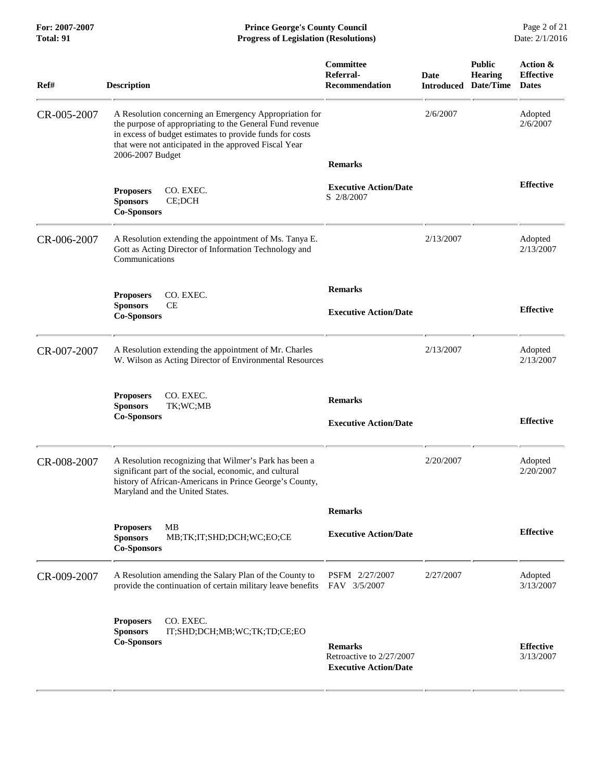**For: 2007-2007 Prince George's County Council** Page 2 of 21<br>**Progress of Legislation (Resolutions)** Date: 2/1/2016 **Total: 91 Progress of Legislation (Resolutions)** 

| Ref#        | <b>Description</b>                                                                                                                                                                                                                                          | Committee<br>Referral-<br><b>Recommendation</b>                            | <b>Date</b><br><b>Introduced</b> | <b>Public</b><br><b>Hearing</b><br>Date/Time | Action &<br><b>Effective</b><br><b>Dates</b> |
|-------------|-------------------------------------------------------------------------------------------------------------------------------------------------------------------------------------------------------------------------------------------------------------|----------------------------------------------------------------------------|----------------------------------|----------------------------------------------|----------------------------------------------|
| CR-005-2007 | A Resolution concerning an Emergency Appropriation for<br>the purpose of appropriating to the General Fund revenue<br>in excess of budget estimates to provide funds for costs<br>that were not anticipated in the approved Fiscal Year<br>2006-2007 Budget |                                                                            | 2/6/2007                         |                                              | Adopted<br>2/6/2007                          |
|             |                                                                                                                                                                                                                                                             | <b>Remarks</b>                                                             |                                  |                                              |                                              |
|             | <b>Proposers</b><br>CO. EXEC.<br>CE;DCH<br><b>Sponsors</b><br><b>Co-Sponsors</b>                                                                                                                                                                            | <b>Executive Action/Date</b><br>S 2/8/2007                                 |                                  |                                              | <b>Effective</b>                             |
| CR-006-2007 | A Resolution extending the appointment of Ms. Tanya E.<br>Gott as Acting Director of Information Technology and<br>Communications                                                                                                                           |                                                                            | 2/13/2007                        |                                              | Adopted<br>2/13/2007                         |
|             | CO. EXEC.<br><b>Proposers</b>                                                                                                                                                                                                                               | <b>Remarks</b>                                                             |                                  |                                              |                                              |
|             | CE<br><b>Sponsors</b><br><b>Co-Sponsors</b>                                                                                                                                                                                                                 | <b>Executive Action/Date</b>                                               |                                  |                                              | <b>Effective</b>                             |
| CR-007-2007 | A Resolution extending the appointment of Mr. Charles<br>W. Wilson as Acting Director of Environmental Resources                                                                                                                                            |                                                                            | 2/13/2007                        |                                              | Adopted<br>2/13/2007                         |
|             | CO. EXEC.<br><b>Proposers</b><br><b>Sponsors</b><br>TK;WC;MB<br><b>Co-Sponsors</b>                                                                                                                                                                          | <b>Remarks</b><br><b>Executive Action/Date</b>                             |                                  |                                              | <b>Effective</b>                             |
| CR-008-2007 | A Resolution recognizing that Wilmer's Park has been a<br>significant part of the social, economic, and cultural<br>history of African-Americans in Prince George's County,<br>Maryland and the United States.                                              |                                                                            | 2/20/2007                        |                                              | Adopted<br>2/20/2007                         |
|             |                                                                                                                                                                                                                                                             | <b>Remarks</b>                                                             |                                  |                                              |                                              |
|             | <b>Proposers</b><br><b>MB</b><br>MB;TK;IT;SHD;DCH;WC;EO;CE<br><b>Sponsors</b><br><b>Co-Sponsors</b>                                                                                                                                                         | <b>Executive Action/Date</b>                                               |                                  |                                              | <b>Effective</b>                             |
| CR-009-2007 | A Resolution amending the Salary Plan of the County to<br>provide the continuation of certain military leave benefits                                                                                                                                       | PSFM 2/27/2007<br>FAV 3/5/2007                                             | 2/27/2007                        |                                              | Adopted<br>3/13/2007                         |
|             | CO. EXEC.<br><b>Proposers</b><br><b>Sponsors</b><br>IT;SHD;DCH;MB;WC;TK;TD;CE;EO<br><b>Co-Sponsors</b>                                                                                                                                                      | <b>Remarks</b><br>Retroactive to 2/27/2007<br><b>Executive Action/Date</b> |                                  |                                              | <b>Effective</b><br>3/13/2007                |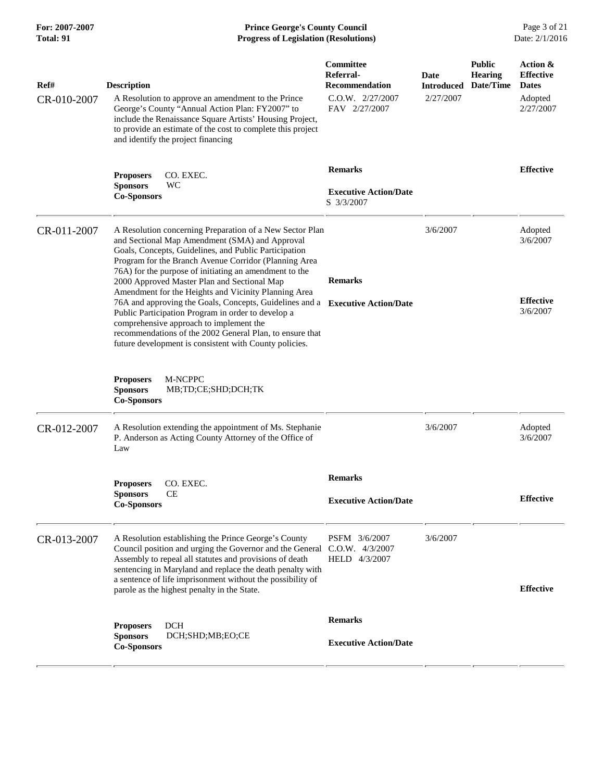**For: 2007-2007 Prince George's County Council** Page 3 of 21<br> **Prince George's County Council** Page 3 of 21<br> **Progress of Legislation (Resolutions)** Date: 2/1/2016 **Total: 91 Progress of Legislation (Resolutions)** 

| Ref#<br>CR-010-2007 | <b>Description</b><br>A Resolution to approve an amendment to the Prince<br>George's County "Annual Action Plan: FY2007" to<br>include the Renaissance Square Artists' Housing Project,<br>to provide an estimate of the cost to complete this project<br>and identify the project financing                                                                                                                                                                                                                                                                                                                                                                                                          | Committee<br>Referral-<br><b>Recommendation</b><br>C.O.W. 2/27/2007<br>FAV 2/27/2007 | Date<br><b>Introduced</b><br>2/27/2007 | <b>Public</b><br><b>Hearing</b><br>Date/Time | Action &<br><b>Effective</b><br><b>Dates</b><br>Adopted<br>2/27/2007 |
|---------------------|-------------------------------------------------------------------------------------------------------------------------------------------------------------------------------------------------------------------------------------------------------------------------------------------------------------------------------------------------------------------------------------------------------------------------------------------------------------------------------------------------------------------------------------------------------------------------------------------------------------------------------------------------------------------------------------------------------|--------------------------------------------------------------------------------------|----------------------------------------|----------------------------------------------|----------------------------------------------------------------------|
|                     | <b>Proposers</b><br>CO. EXEC.<br>WC<br><b>Sponsors</b><br><b>Co-Sponsors</b>                                                                                                                                                                                                                                                                                                                                                                                                                                                                                                                                                                                                                          | <b>Remarks</b><br><b>Executive Action/Date</b><br>S 3/3/2007                         |                                        |                                              | <b>Effective</b>                                                     |
| CR-011-2007         | A Resolution concerning Preparation of a New Sector Plan<br>and Sectional Map Amendment (SMA) and Approval<br>Goals, Concepts, Guidelines, and Public Participation<br>Program for the Branch Avenue Corridor (Planning Area<br>76A) for the purpose of initiating an amendment to the<br>2000 Approved Master Plan and Sectional Map<br>Amendment for the Heights and Vicinity Planning Area<br>76A and approving the Goals, Concepts, Guidelines and a Executive Action/Date<br>Public Participation Program in order to develop a<br>comprehensive approach to implement the<br>recommendations of the 2002 General Plan, to ensure that<br>future development is consistent with County policies. | <b>Remarks</b>                                                                       | 3/6/2007                               |                                              | Adopted<br>3/6/2007<br><b>Effective</b><br>3/6/2007                  |
|                     | <b>Proposers</b><br>M-NCPPC<br><b>Sponsors</b><br>MB;TD;CE;SHD;DCH;TK<br><b>Co-Sponsors</b>                                                                                                                                                                                                                                                                                                                                                                                                                                                                                                                                                                                                           |                                                                                      |                                        |                                              |                                                                      |
| CR-012-2007         | A Resolution extending the appointment of Ms. Stephanie<br>P. Anderson as Acting County Attorney of the Office of<br>Law                                                                                                                                                                                                                                                                                                                                                                                                                                                                                                                                                                              |                                                                                      | 3/6/2007                               |                                              | Adopted<br>3/6/2007                                                  |
|                     | CO. EXEC.<br><b>Proposers</b><br>CЕ<br><b>Sponsors</b><br><b>Co-Sponsors</b>                                                                                                                                                                                                                                                                                                                                                                                                                                                                                                                                                                                                                          | <b>Remarks</b><br><b>Executive Action/Date</b>                                       |                                        |                                              | <b>Effective</b>                                                     |
| CR-013-2007         | A Resolution establishing the Prince George's County<br>Council position and urging the Governor and the General C.O.W. 4/3/2007<br>Assembly to repeal all statutes and provisions of death<br>sentencing in Maryland and replace the death penalty with<br>a sentence of life imprisonment without the possibility of<br>parole as the highest penalty in the State.                                                                                                                                                                                                                                                                                                                                 | PSFM 3/6/2007<br>HELD 4/3/2007                                                       | 3/6/2007                               |                                              | <b>Effective</b>                                                     |
|                     | <b>DCH</b><br><b>Proposers</b><br><b>Sponsors</b><br>DCH;SHD;MB;EO;CE<br><b>Co-Sponsors</b>                                                                                                                                                                                                                                                                                                                                                                                                                                                                                                                                                                                                           | <b>Remarks</b><br><b>Executive Action/Date</b>                                       |                                        |                                              |                                                                      |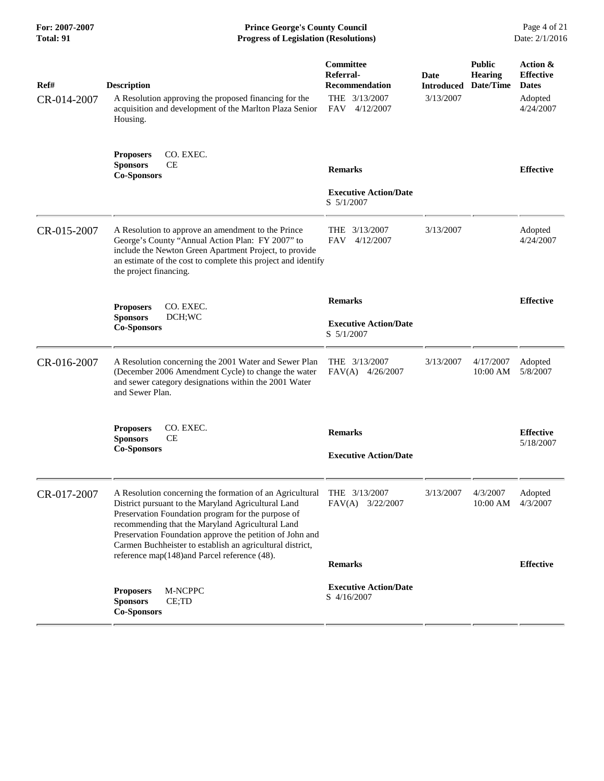| For: 2007-2007<br>Total: 91 | <b>Prince George's County Council</b><br><b>Progress of Legislation (Resolutions)</b>                                                                                                                                                                                                                                                                                                              |                                                                                   |                                        |                                              | Page 4 of 21<br>Date: 2/1/2016                                       |  |
|-----------------------------|----------------------------------------------------------------------------------------------------------------------------------------------------------------------------------------------------------------------------------------------------------------------------------------------------------------------------------------------------------------------------------------------------|-----------------------------------------------------------------------------------|----------------------------------------|----------------------------------------------|----------------------------------------------------------------------|--|
| Ref#<br>CR-014-2007         | <b>Description</b><br>A Resolution approving the proposed financing for the<br>acquisition and development of the Marlton Plaza Senior<br>Housing.                                                                                                                                                                                                                                                 | Committee<br>Referral-<br><b>Recommendation</b><br>THE 3/13/2007<br>FAV 4/12/2007 | Date<br><b>Introduced</b><br>3/13/2007 | <b>Public</b><br><b>Hearing</b><br>Date/Time | Action &<br><b>Effective</b><br><b>Dates</b><br>Adopted<br>4/24/2007 |  |
|                             | CO. EXEC.<br><b>Proposers</b><br><b>Sponsors</b><br>CЕ<br><b>Co-Sponsors</b>                                                                                                                                                                                                                                                                                                                       | <b>Remarks</b><br><b>Executive Action/Date</b><br>S 5/1/2007                      |                                        |                                              | <b>Effective</b>                                                     |  |
| CR-015-2007                 | A Resolution to approve an amendment to the Prince<br>George's County "Annual Action Plan: FY 2007" to<br>include the Newton Green Apartment Project, to provide<br>an estimate of the cost to complete this project and identify<br>the project financing.                                                                                                                                        | THE 3/13/2007<br><b>FAV</b><br>4/12/2007                                          | 3/13/2007                              |                                              | Adopted<br>4/24/2007                                                 |  |
|                             | CO. EXEC.<br><b>Proposers</b><br><b>Sponsors</b><br>DCH;WC<br><b>Co-Sponsors</b>                                                                                                                                                                                                                                                                                                                   | <b>Remarks</b><br><b>Executive Action/Date</b><br>S 5/1/2007                      |                                        |                                              | <b>Effective</b>                                                     |  |
| CR-016-2007                 | A Resolution concerning the 2001 Water and Sewer Plan<br>(December 2006 Amendment Cycle) to change the water<br>and sewer category designations within the 2001 Water<br>and Sewer Plan.                                                                                                                                                                                                           | THE 3/13/2007<br>FAV(A) 4/26/2007                                                 | 3/13/2007                              | 4/17/2007<br>10:00 AM                        | Adopted<br>5/8/2007                                                  |  |
|                             | CO. EXEC.<br><b>Proposers</b><br><b>Sponsors</b><br>CЕ<br><b>Co-Sponsors</b>                                                                                                                                                                                                                                                                                                                       | <b>Remarks</b><br><b>Executive Action/Date</b>                                    |                                        |                                              | <b>Effective</b><br>5/18/2007                                        |  |
| CR-017-2007                 | A Resolution concerning the formation of an Agricultural<br>District pursuant to the Maryland Agricultural Land<br>Preservation Foundation program for the purpose of<br>recommending that the Maryland Agricultural Land<br>Preservation Foundation approve the petition of John and<br>Carmen Buchheister to establish an agricultural district,<br>reference map(148)and Parcel reference (48). | THE 3/13/2007<br>FAV(A)<br>3/22/2007<br><b>Remarks</b>                            | 3/13/2007                              | 4/3/2007<br>$10:00$ AM                       | Adopted<br>4/3/2007<br><b>Effective</b>                              |  |
|                             | M-NCPPC<br><b>Proposers</b><br><b>Sponsors</b><br>CE;TD<br><b>Co-Sponsors</b>                                                                                                                                                                                                                                                                                                                      | <b>Executive Action/Date</b><br>S 4/16/2007                                       |                                        |                                              |                                                                      |  |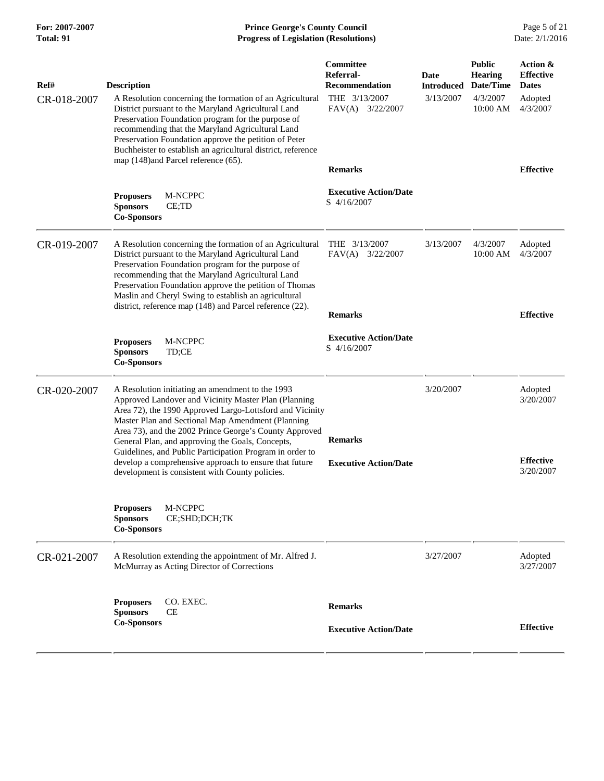## **For: 2007-2007 Prince George's County Council** Page 5 of 21<br> **Prince George's County Council** Page 5 of 21<br> **Progress of Legislation (Resolutions)** Date: 2/1/2016 **Total: 91 Progress of Legislation (Resolutions)**

| Ref#<br>CR-018-2007 | <b>Description</b><br>A Resolution concerning the formation of an Agricultural<br>District pursuant to the Maryland Agricultural Land<br>Preservation Foundation program for the purpose of<br>recommending that the Maryland Agricultural Land                                                                                                                                                                                                               | Committee<br><b>Referral-</b><br><b>Recommendation</b><br>THE 3/13/2007<br>FAV(A) 3/22/2007 | Date<br><b>Introduced</b><br>3/13/2007 | <b>Public</b><br><b>Hearing</b><br>Date/Time<br>4/3/2007<br>10:00 AM | Action &<br><b>Effective</b><br><b>Dates</b><br>Adopted<br>4/3/2007 |
|---------------------|---------------------------------------------------------------------------------------------------------------------------------------------------------------------------------------------------------------------------------------------------------------------------------------------------------------------------------------------------------------------------------------------------------------------------------------------------------------|---------------------------------------------------------------------------------------------|----------------------------------------|----------------------------------------------------------------------|---------------------------------------------------------------------|
|                     | Preservation Foundation approve the petition of Peter<br>Buchheister to establish an agricultural district, reference<br>map (148)and Parcel reference (65).                                                                                                                                                                                                                                                                                                  | <b>Remarks</b>                                                                              |                                        |                                                                      | <b>Effective</b>                                                    |
|                     | <b>Proposers</b><br>M-NCPPC<br><b>Sponsors</b><br>CE;TD<br><b>Co-Sponsors</b>                                                                                                                                                                                                                                                                                                                                                                                 | <b>Executive Action/Date</b><br>S 4/16/2007                                                 |                                        |                                                                      |                                                                     |
| CR-019-2007         | A Resolution concerning the formation of an Agricultural<br>District pursuant to the Maryland Agricultural Land<br>Preservation Foundation program for the purpose of<br>recommending that the Maryland Agricultural Land<br>Preservation Foundation approve the petition of Thomas<br>Maslin and Cheryl Swing to establish an agricultural<br>district, reference map (148) and Parcel reference (22).                                                       | THE $3/13/2007$<br>FAV(A)<br>3/22/2007                                                      | 3/13/2007                              | 4/3/2007<br>10:00 AM                                                 | Adopted<br>4/3/2007                                                 |
|                     |                                                                                                                                                                                                                                                                                                                                                                                                                                                               | <b>Remarks</b>                                                                              |                                        |                                                                      | <b>Effective</b>                                                    |
|                     | <b>Proposers</b><br>M-NCPPC<br><b>Sponsors</b><br>TD;CE<br><b>Co-Sponsors</b>                                                                                                                                                                                                                                                                                                                                                                                 | <b>Executive Action/Date</b><br>S 4/16/2007                                                 |                                        |                                                                      |                                                                     |
| CR-020-2007         | A Resolution initiating an amendment to the 1993<br>Approved Landover and Vicinity Master Plan (Planning<br>Area 72), the 1990 Approved Largo-Lottsford and Vicinity<br>Master Plan and Sectional Map Amendment (Planning<br>Area 73), and the 2002 Prince George's County Approved<br>General Plan, and approving the Goals, Concepts,<br>Guidelines, and Public Participation Program in order to<br>develop a comprehensive approach to ensure that future | <b>Remarks</b><br><b>Executive Action/Date</b>                                              | 3/20/2007                              |                                                                      | Adopted<br>3/20/2007<br><b>Effective</b>                            |
|                     | development is consistent with County policies.                                                                                                                                                                                                                                                                                                                                                                                                               |                                                                                             |                                        |                                                                      | 3/20/2007                                                           |
|                     | M-NCPPC<br><b>Proposers</b><br><b>Sponsors</b><br>CE;SHD;DCH;TK<br><b>Co-Sponsors</b>                                                                                                                                                                                                                                                                                                                                                                         |                                                                                             |                                        |                                                                      |                                                                     |
| CR-021-2007         | A Resolution extending the appointment of Mr. Alfred J.<br>McMurray as Acting Director of Corrections                                                                                                                                                                                                                                                                                                                                                         |                                                                                             | 3/27/2007                              |                                                                      | Adopted<br>3/27/2007                                                |
|                     | <b>Proposers</b><br>CO. EXEC.<br>CE<br><b>Sponsors</b>                                                                                                                                                                                                                                                                                                                                                                                                        | <b>Remarks</b>                                                                              |                                        |                                                                      |                                                                     |
|                     | <b>Co-Sponsors</b>                                                                                                                                                                                                                                                                                                                                                                                                                                            | <b>Executive Action/Date</b>                                                                |                                        |                                                                      | <b>Effective</b>                                                    |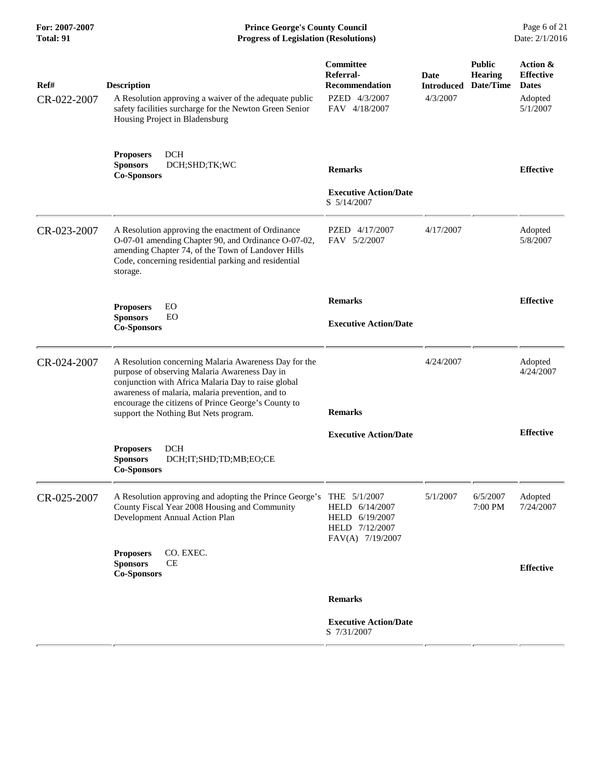| For: 2007-2007<br>Total: 91 | <b>Prince George's County Council</b><br><b>Progress of Legislation (Resolutions)</b>                                                                                                                                                                                                                             |                                                                                        | Page 6 of 21<br>Date: 2/1/2016        |                                              |                                                                     |
|-----------------------------|-------------------------------------------------------------------------------------------------------------------------------------------------------------------------------------------------------------------------------------------------------------------------------------------------------------------|----------------------------------------------------------------------------------------|---------------------------------------|----------------------------------------------|---------------------------------------------------------------------|
| Ref#<br>CR-022-2007         | <b>Description</b><br>A Resolution approving a waiver of the adequate public<br>safety facilities surcharge for the Newton Green Senior<br>Housing Project in Bladensburg                                                                                                                                         | Committee<br>Referral-<br><b>Recommendation</b><br>PZED 4/3/2007<br>FAV 4/18/2007      | Date<br><b>Introduced</b><br>4/3/2007 | <b>Public</b><br><b>Hearing</b><br>Date/Time | Action &<br><b>Effective</b><br><b>Dates</b><br>Adopted<br>5/1/2007 |
|                             | <b>DCH</b><br><b>Proposers</b><br>DCH;SHD;TK;WC<br><b>Sponsors</b><br><b>Co-Sponsors</b>                                                                                                                                                                                                                          | <b>Remarks</b>                                                                         |                                       |                                              | <b>Effective</b>                                                    |
|                             |                                                                                                                                                                                                                                                                                                                   | <b>Executive Action/Date</b><br>S 5/14/2007                                            |                                       |                                              |                                                                     |
| CR-023-2007                 | A Resolution approving the enactment of Ordinance<br>O-07-01 amending Chapter 90, and Ordinance O-07-02,<br>amending Chapter 74, of the Town of Landover Hills<br>Code, concerning residential parking and residential<br>storage.                                                                                | PZED 4/17/2007<br>FAV 5/2/2007                                                         | 4/17/2007                             |                                              | Adopted<br>5/8/2007                                                 |
|                             | EO<br><b>Proposers</b>                                                                                                                                                                                                                                                                                            | <b>Remarks</b>                                                                         |                                       |                                              | <b>Effective</b>                                                    |
|                             | <b>Sponsors</b><br>EO<br><b>Co-Sponsors</b>                                                                                                                                                                                                                                                                       | <b>Executive Action/Date</b>                                                           |                                       |                                              |                                                                     |
| CR-024-2007                 | A Resolution concerning Malaria Awareness Day for the<br>purpose of observing Malaria Awareness Day in<br>conjunction with Africa Malaria Day to raise global<br>awareness of malaria, malaria prevention, and to<br>encourage the citizens of Prince George's County to<br>support the Nothing But Nets program. | <b>Remarks</b>                                                                         | 4/24/2007                             |                                              | Adopted<br>4/24/2007                                                |
|                             |                                                                                                                                                                                                                                                                                                                   | <b>Executive Action/Date</b>                                                           |                                       |                                              | <b>Effective</b>                                                    |
|                             | DCH<br><b>Proposers</b><br>DCH;IT;SHD;TD;MB;EO;CE<br><b>Sponsors</b><br><b>Co-Sponsors</b>                                                                                                                                                                                                                        |                                                                                        |                                       |                                              |                                                                     |
| CR-025-2007                 | A Resolution approving and adopting the Prince George's<br>County Fiscal Year 2008 Housing and Community<br>Development Annual Action Plan                                                                                                                                                                        | THE 5/1/2007<br>HELD 6/14/2007<br>HELD 6/19/2007<br>HELD 7/12/2007<br>FAV(A) 7/19/2007 | 5/1/2007                              | 6/5/2007<br>7:00 PM                          | Adopted<br>7/24/2007                                                |
|                             | CO. EXEC.<br><b>Proposers</b><br><b>Sponsors</b><br><b>CE</b><br><b>Co-Sponsors</b>                                                                                                                                                                                                                               |                                                                                        |                                       |                                              | <b>Effective</b>                                                    |
|                             |                                                                                                                                                                                                                                                                                                                   | <b>Remarks</b>                                                                         |                                       |                                              |                                                                     |
|                             |                                                                                                                                                                                                                                                                                                                   | <b>Executive Action/Date</b><br>S 7/31/2007                                            |                                       |                                              |                                                                     |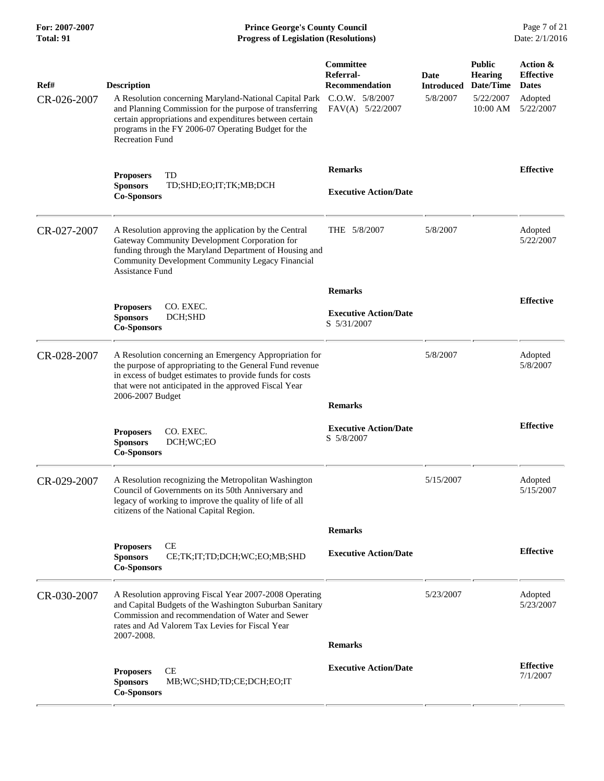| For: 2007-2007<br>Total: 91 | <b>Prince George's County Council</b><br>Date: 2/1/2016<br><b>Progress of Legislation (Resolutions)</b>                                                                                                                                                                             |                                                                                               |                                       |                                                                       |                                                                      |
|-----------------------------|-------------------------------------------------------------------------------------------------------------------------------------------------------------------------------------------------------------------------------------------------------------------------------------|-----------------------------------------------------------------------------------------------|---------------------------------------|-----------------------------------------------------------------------|----------------------------------------------------------------------|
| Ref#<br>CR-026-2007         | <b>Description</b><br>A Resolution concerning Maryland-National Capital Park<br>and Planning Commission for the purpose of transferring<br>certain appropriations and expenditures between certain<br>programs in the FY 2006-07 Operating Budget for the<br><b>Recreation Fund</b> | <b>Committee</b><br>Referral-<br><b>Recommendation</b><br>C.O.W. 5/8/2007<br>FAV(A) 5/22/2007 | Date<br><b>Introduced</b><br>5/8/2007 | <b>Public</b><br><b>Hearing</b><br>Date/Time<br>5/22/2007<br>10:00 AM | Action &<br><b>Effective</b><br><b>Dates</b><br>Adopted<br>5/22/2007 |
|                             | <b>Proposers</b><br>TD<br><b>Sponsors</b><br>TD;SHD;EO;IT;TK;MB;DCH<br><b>Co-Sponsors</b>                                                                                                                                                                                           | <b>Remarks</b><br><b>Executive Action/Date</b>                                                |                                       |                                                                       | <b>Effective</b>                                                     |
| CR-027-2007                 | A Resolution approving the application by the Central<br>Gateway Community Development Corporation for<br>funding through the Maryland Department of Housing and<br>Community Development Community Legacy Financial<br><b>Assistance Fund</b>                                      | THE 5/8/2007                                                                                  | 5/8/2007                              |                                                                       | Adopted<br>5/22/2007                                                 |
|                             | CO. EXEC.<br><b>Proposers</b><br><b>Sponsors</b><br>DCH;SHD<br><b>Co-Sponsors</b>                                                                                                                                                                                                   | <b>Remarks</b><br><b>Executive Action/Date</b><br>S 5/31/2007                                 |                                       |                                                                       | <b>Effective</b>                                                     |
| CR-028-2007                 | A Resolution concerning an Emergency Appropriation for<br>the purpose of appropriating to the General Fund revenue<br>in excess of budget estimates to provide funds for costs<br>that were not anticipated in the approved Fiscal Year<br>2006-2007 Budget                         | <b>Remarks</b>                                                                                | 5/8/2007                              |                                                                       | Adopted<br>5/8/2007                                                  |
|                             | CO. EXEC.<br><b>Proposers</b><br><b>Sponsors</b><br>DCH;WC;EO<br><b>Co-Sponsors</b>                                                                                                                                                                                                 | <b>Executive Action/Date</b><br>S 5/8/2007                                                    |                                       |                                                                       | <b>Effective</b>                                                     |
| CR-029-2007                 | A Resolution recognizing the Metropolitan Washington<br>Council of Governments on its 50th Anniversary and<br>legacy of working to improve the quality of life of all<br>citizens of the National Capital Region.                                                                   |                                                                                               | 5/15/2007                             |                                                                       | Adopted<br>5/15/2007                                                 |
|                             | CE<br><b>Proposers</b><br><b>Sponsors</b><br>CE;TK;IT;TD;DCH;WC;EO;MB;SHD<br><b>Co-Sponsors</b>                                                                                                                                                                                     | <b>Remarks</b><br><b>Executive Action/Date</b>                                                |                                       |                                                                       | <b>Effective</b>                                                     |
| CR-030-2007                 | A Resolution approving Fiscal Year 2007-2008 Operating<br>and Capital Budgets of the Washington Suburban Sanitary<br>Commission and recommendation of Water and Sewer<br>rates and Ad Valorem Tax Levies for Fiscal Year<br>2007-2008.                                              | <b>Remarks</b>                                                                                | 5/23/2007                             |                                                                       | Adopted<br>5/23/2007                                                 |
|                             | CE<br><b>Proposers</b><br><b>Sponsors</b><br>MB;WC;SHD;TD;CE;DCH;EO;IT<br><b>Co-Sponsors</b>                                                                                                                                                                                        | <b>Executive Action/Date</b>                                                                  |                                       |                                                                       | <b>Effective</b><br>7/1/2007                                         |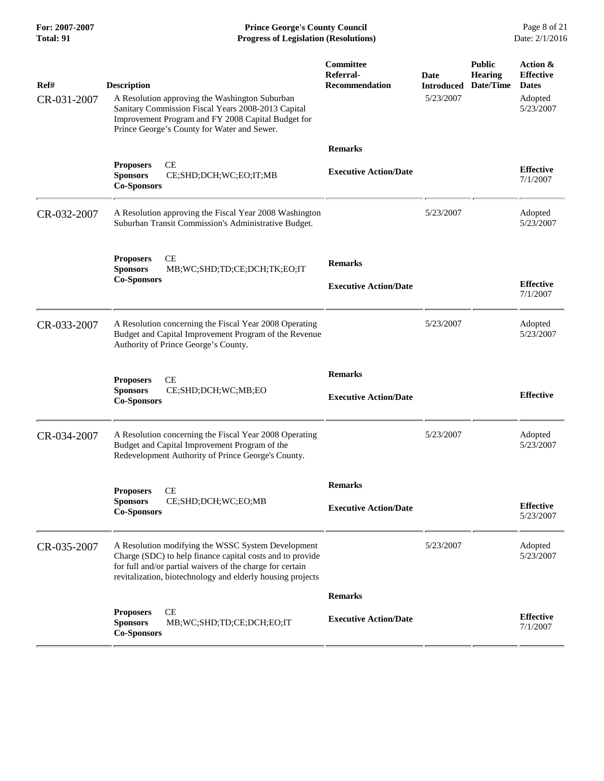**For: 2007-2007 Prince George's County Council** Page 8 of 21<br> **Prince George's County Council** Page 8 of 21<br> **Progress of Legislation (Resolutions)** Date: 2/1/2016 **Total: 91 Progress of Legislation (Resolutions)** 

| Ref#        | <b>Description</b>                                                                                                                                                                                                                         | Committee<br>Referral-<br><b>Recommendation</b> | Date<br><b>Introduced</b> | <b>Public</b><br><b>Hearing</b><br>Date/Time | Action &<br><b>Effective</b><br><b>Dates</b> |
|-------------|--------------------------------------------------------------------------------------------------------------------------------------------------------------------------------------------------------------------------------------------|-------------------------------------------------|---------------------------|----------------------------------------------|----------------------------------------------|
| CR-031-2007 | A Resolution approving the Washington Suburban<br>Sanitary Commission Fiscal Years 2008-2013 Capital<br>Improvement Program and FY 2008 Capital Budget for<br>Prince George's County for Water and Sewer.                                  |                                                 | 5/23/2007                 |                                              | Adopted<br>5/23/2007                         |
|             |                                                                                                                                                                                                                                            | <b>Remarks</b>                                  |                           |                                              |                                              |
|             | CE<br><b>Proposers</b><br><b>Sponsors</b><br>CE;SHD;DCH;WC;EO;IT;MB<br><b>Co-Sponsors</b>                                                                                                                                                  | <b>Executive Action/Date</b>                    |                           |                                              | <b>Effective</b><br>7/1/2007                 |
| CR-032-2007 | A Resolution approving the Fiscal Year 2008 Washington<br>Suburban Transit Commission's Administrative Budget.                                                                                                                             |                                                 | 5/23/2007                 |                                              | Adopted<br>5/23/2007                         |
|             | <b>Proposers</b><br>CЕ<br>MB;WC;SHD;TD;CE;DCH;TK;EO;IT<br><b>Sponsors</b>                                                                                                                                                                  | <b>Remarks</b>                                  |                           |                                              |                                              |
|             | <b>Co-Sponsors</b>                                                                                                                                                                                                                         | <b>Executive Action/Date</b>                    |                           |                                              | <b>Effective</b><br>7/1/2007                 |
| CR-033-2007 | A Resolution concerning the Fiscal Year 2008 Operating<br>Budget and Capital Improvement Program of the Revenue<br>Authority of Prince George's County.                                                                                    |                                                 | 5/23/2007                 |                                              | Adopted<br>5/23/2007                         |
|             | CE                                                                                                                                                                                                                                         | <b>Remarks</b>                                  |                           |                                              |                                              |
|             | <b>Proposers</b><br><b>Sponsors</b><br>CE;SHD;DCH;WC;MB;EO<br><b>Co-Sponsors</b>                                                                                                                                                           | <b>Executive Action/Date</b>                    |                           |                                              | <b>Effective</b>                             |
| CR-034-2007 | A Resolution concerning the Fiscal Year 2008 Operating<br>Budget and Capital Improvement Program of the<br>Redevelopment Authority of Prince George's County.                                                                              |                                                 | 5/23/2007                 |                                              | Adopted<br>5/23/2007                         |
|             | CE<br><b>Proposers</b>                                                                                                                                                                                                                     | <b>Remarks</b>                                  |                           |                                              |                                              |
|             | <b>Sponsors</b><br>CE;SHD;DCH;WC;EO;MB<br><b>Co-Sponsors</b>                                                                                                                                                                               | <b>Executive Action/Date</b>                    |                           |                                              | <b>Effective</b><br>5/23/2007                |
| CR-035-2007 | A Resolution modifying the WSSC System Development<br>Charge (SDC) to help finance capital costs and to provide<br>for full and/or partial waivers of the charge for certain<br>revitalization, biotechnology and elderly housing projects |                                                 | 5/23/2007                 |                                              | Adopted<br>5/23/2007                         |
|             |                                                                                                                                                                                                                                            | <b>Remarks</b>                                  |                           |                                              |                                              |
|             | $\!$ $\!$<br><b>Proposers</b><br><b>Sponsors</b><br>MB;WC;SHD;TD;CE;DCH;EO;IT<br><b>Co-Sponsors</b>                                                                                                                                        | <b>Executive Action/Date</b>                    |                           |                                              | <b>Effective</b><br>7/1/2007                 |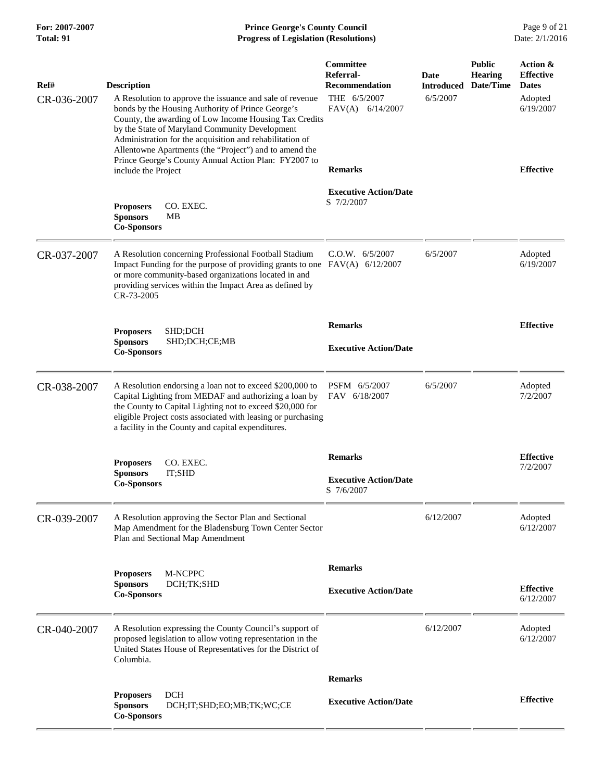| For: 2007-2007<br>Total: 91 | <b>Prince George's County Council</b><br><b>Progress of Legislation (Resolutions)</b>                                                                                                                                                                                                                       |                                                                                              |                                       |                                              | Page 9 of 21<br>Date: 2/1/2016                                       |
|-----------------------------|-------------------------------------------------------------------------------------------------------------------------------------------------------------------------------------------------------------------------------------------------------------------------------------------------------------|----------------------------------------------------------------------------------------------|---------------------------------------|----------------------------------------------|----------------------------------------------------------------------|
| Ref#<br>CR-036-2007         | <b>Description</b><br>A Resolution to approve the issuance and sale of revenue<br>bonds by the Housing Authority of Prince George's<br>County, the awarding of Low Income Housing Tax Credits<br>by the State of Maryland Community Development<br>Administration for the acquisition and rehabilitation of | <b>Committee</b><br>Referral-<br><b>Recommendation</b><br>THE 6/5/2007<br>$FAV(A)$ 6/14/2007 | Date<br><b>Introduced</b><br>6/5/2007 | <b>Public</b><br><b>Hearing</b><br>Date/Time | Action &<br><b>Effective</b><br><b>Dates</b><br>Adopted<br>6/19/2007 |
|                             | Allentowne Apartments (the "Project") and to amend the<br>Prince George's County Annual Action Plan: FY2007 to<br>include the Project                                                                                                                                                                       | <b>Remarks</b>                                                                               |                                       |                                              | <b>Effective</b>                                                     |
|                             | CO. EXEC.<br><b>Proposers</b><br><b>Sponsors</b><br><b>MB</b><br><b>Co-Sponsors</b>                                                                                                                                                                                                                         | <b>Executive Action/Date</b><br>S 7/2/2007                                                   |                                       |                                              |                                                                      |
| CR-037-2007                 | A Resolution concerning Professional Football Stadium<br>Impact Funding for the purpose of providing grants to one FAV(A) 6/12/2007<br>or more community-based organizations located in and<br>providing services within the Impact Area as defined by<br>CR-73-2005                                        | C.O.W. 6/5/2007                                                                              | 6/5/2007                              |                                              | Adopted<br>6/19/2007                                                 |
|                             | SHD;DCH<br><b>Proposers</b><br><b>Sponsors</b><br>SHD;DCH;CE;MB<br><b>Co-Sponsors</b>                                                                                                                                                                                                                       | <b>Remarks</b><br><b>Executive Action/Date</b>                                               |                                       |                                              | <b>Effective</b>                                                     |
| CR-038-2007                 | A Resolution endorsing a loan not to exceed \$200,000 to<br>Capital Lighting from MEDAF and authorizing a loan by<br>the County to Capital Lighting not to exceed \$20,000 for<br>eligible Project costs associated with leasing or purchasing<br>a facility in the County and capital expenditures.        | PSFM 6/5/2007<br>FAV 6/18/2007                                                               | 6/5/2007                              |                                              | Adopted<br>7/2/2007                                                  |
|                             | CO. EXEC.<br><b>Proposers</b><br>IT;SHD<br><b>Sponsors</b><br><b>Co-Sponsors</b>                                                                                                                                                                                                                            | <b>Remarks</b><br><b>Executive Action/Date</b><br>S 7/6/2007                                 |                                       |                                              | <b>Effective</b><br>7/2/2007                                         |
| CR-039-2007                 | A Resolution approving the Sector Plan and Sectional<br>Map Amendment for the Bladensburg Town Center Sector<br>Plan and Sectional Map Amendment                                                                                                                                                            |                                                                                              | 6/12/2007                             |                                              | Adopted<br>6/12/2007                                                 |
|                             | M-NCPPC<br><b>Proposers</b><br><b>Sponsors</b><br>DCH;TK;SHD<br><b>Co-Sponsors</b>                                                                                                                                                                                                                          | <b>Remarks</b><br><b>Executive Action/Date</b>                                               |                                       |                                              | <b>Effective</b><br>6/12/2007                                        |
| CR-040-2007                 | A Resolution expressing the County Council's support of<br>proposed legislation to allow voting representation in the<br>United States House of Representatives for the District of<br>Columbia.                                                                                                            |                                                                                              | 6/12/2007                             |                                              | Adopted<br>6/12/2007                                                 |
|                             |                                                                                                                                                                                                                                                                                                             | <b>Remarks</b>                                                                               |                                       |                                              |                                                                      |
|                             | <b>DCH</b><br><b>Proposers</b><br><b>Sponsors</b><br>DCH;IT;SHD;EO;MB;TK;WC;CE<br><b>Co-Sponsors</b>                                                                                                                                                                                                        | <b>Executive Action/Date</b>                                                                 |                                       |                                              | <b>Effective</b>                                                     |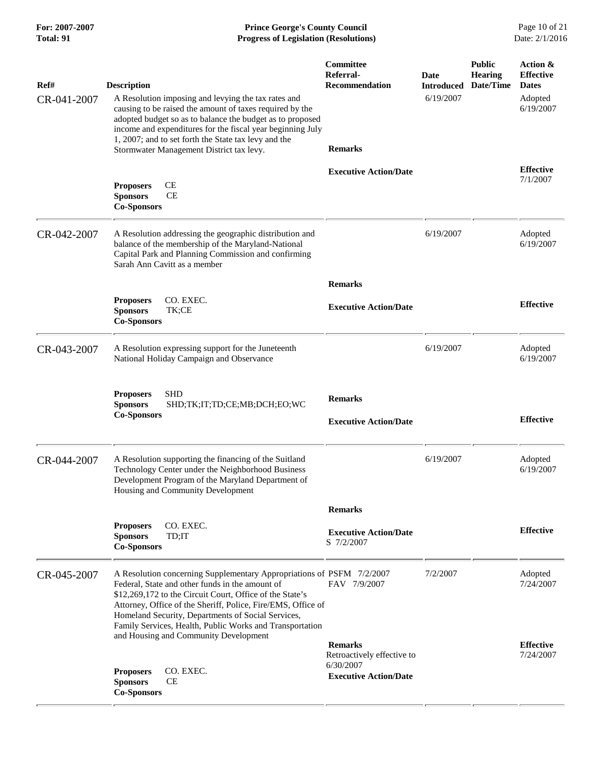| For: 2007-2007<br>Total: 91 | <b>Prince George's County Council</b><br>Date: 2/1/2016<br><b>Progress of Legislation (Resolutions)</b>                                                                                                                                                                                                                                                                |                                                                                           |                                        |                                              |                                                                      |
|-----------------------------|------------------------------------------------------------------------------------------------------------------------------------------------------------------------------------------------------------------------------------------------------------------------------------------------------------------------------------------------------------------------|-------------------------------------------------------------------------------------------|----------------------------------------|----------------------------------------------|----------------------------------------------------------------------|
| Ref#<br>CR-041-2007         | <b>Description</b><br>A Resolution imposing and levying the tax rates and<br>causing to be raised the amount of taxes required by the<br>adopted budget so as to balance the budget as to proposed<br>income and expenditures for the fiscal year beginning July<br>1, 2007; and to set forth the State tax levy and the<br>Stormwater Management District tax levy.   | <b>Committee</b><br>Referral-<br><b>Recommendation</b><br><b>Remarks</b>                  | Date<br><b>Introduced</b><br>6/19/2007 | <b>Public</b><br><b>Hearing</b><br>Date/Time | Action &<br><b>Effective</b><br><b>Dates</b><br>Adopted<br>6/19/2007 |
|                             | <b>CE</b><br><b>Proposers</b><br>CE<br><b>Sponsors</b><br><b>Co-Sponsors</b>                                                                                                                                                                                                                                                                                           | <b>Executive Action/Date</b>                                                              |                                        |                                              | <b>Effective</b><br>7/1/2007                                         |
| CR-042-2007                 | A Resolution addressing the geographic distribution and<br>balance of the membership of the Maryland-National<br>Capital Park and Planning Commission and confirming<br>Sarah Ann Cavitt as a member                                                                                                                                                                   |                                                                                           | 6/19/2007                              |                                              | Adopted<br>6/19/2007                                                 |
|                             |                                                                                                                                                                                                                                                                                                                                                                        | <b>Remarks</b>                                                                            |                                        |                                              |                                                                      |
|                             | CO. EXEC.<br><b>Proposers</b><br><b>Sponsors</b><br>TK;CE<br><b>Co-Sponsors</b>                                                                                                                                                                                                                                                                                        | <b>Executive Action/Date</b>                                                              |                                        |                                              | <b>Effective</b>                                                     |
| CR-043-2007                 | A Resolution expressing support for the Juneteenth<br>National Holiday Campaign and Observance                                                                                                                                                                                                                                                                         |                                                                                           | 6/19/2007                              |                                              | Adopted<br>6/19/2007                                                 |
|                             | <b>SHD</b><br><b>Proposers</b><br>SHD;TK;IT;TD;CE;MB;DCH;EO;WC<br><b>Sponsors</b><br><b>Co-Sponsors</b>                                                                                                                                                                                                                                                                | <b>Remarks</b><br><b>Executive Action/Date</b>                                            |                                        |                                              | <b>Effective</b>                                                     |
| CR-044-2007                 | A Resolution supporting the financing of the Suitland<br>Technology Center under the Neighborhood Business<br>Development Program of the Maryland Department of<br>Housing and Community Development                                                                                                                                                                   |                                                                                           | 6/19/2007                              |                                              | Adopted<br>6/19/2007                                                 |
|                             |                                                                                                                                                                                                                                                                                                                                                                        | <b>Remarks</b>                                                                            |                                        |                                              |                                                                      |
|                             | CO. EXEC.<br><b>Proposers</b><br><b>Sponsors</b><br>TD;IT<br><b>Co-Sponsors</b>                                                                                                                                                                                                                                                                                        | <b>Executive Action/Date</b><br>S 7/2/2007                                                |                                        |                                              | <b>Effective</b>                                                     |
| CR-045-2007                 | A Resolution concerning Supplementary Appropriations of PSFM 7/2/2007<br>Federal, State and other funds in the amount of<br>\$12,269,172 to the Circuit Court, Office of the State's<br>Attorney, Office of the Sheriff, Police, Fire/EMS, Office of<br>Homeland Security, Departments of Social Services,<br>Family Services, Health, Public Works and Transportation | FAV 7/9/2007                                                                              | 7/2/2007                               |                                              | Adopted<br>7/24/2007                                                 |
|                             | and Housing and Community Development<br>CO. EXEC.<br><b>Proposers</b><br>CE<br><b>Sponsors</b><br><b>Co-Sponsors</b>                                                                                                                                                                                                                                                  | <b>Remarks</b><br>Retroactively effective to<br>6/30/2007<br><b>Executive Action/Date</b> |                                        |                                              | <b>Effective</b><br>7/24/2007                                        |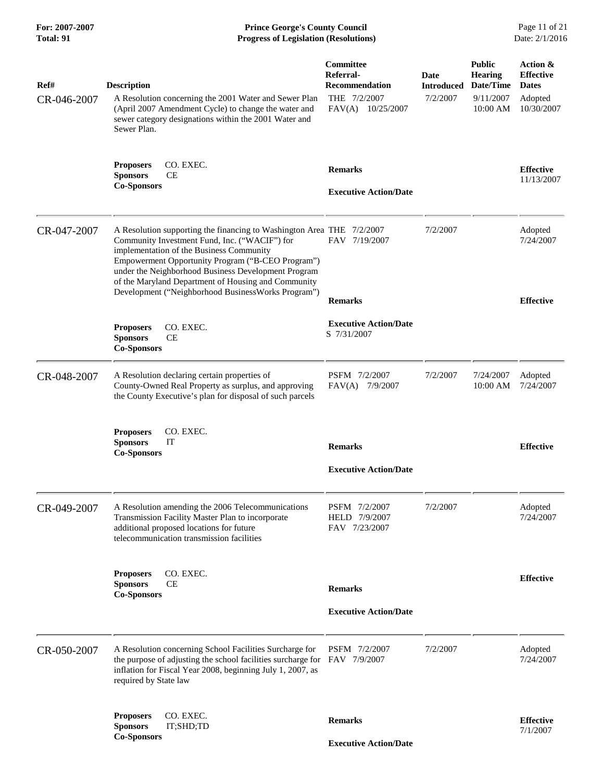| For: 2007-2007<br><b>Total: 91</b> | <b>Prince George's County Council</b><br>Date: 2/1/2016<br><b>Progress of Legislation (Resolutions)</b>                                                                                                                                                                                                                                                                                      |                                                                                      |                                       |                                                                       |                                                                       |
|------------------------------------|----------------------------------------------------------------------------------------------------------------------------------------------------------------------------------------------------------------------------------------------------------------------------------------------------------------------------------------------------------------------------------------------|--------------------------------------------------------------------------------------|---------------------------------------|-----------------------------------------------------------------------|-----------------------------------------------------------------------|
| Ref#<br>CR-046-2007                | <b>Description</b><br>A Resolution concerning the 2001 Water and Sewer Plan<br>(April 2007 Amendment Cycle) to change the water and<br>sewer category designations within the 2001 Water and<br>Sewer Plan.                                                                                                                                                                                  | Committee<br>Referral-<br><b>Recommendation</b><br>THE 7/2/2007<br>FAV(A) 10/25/2007 | Date<br><b>Introduced</b><br>7/2/2007 | <b>Public</b><br><b>Hearing</b><br>Date/Time<br>9/11/2007<br>10:00 AM | Action &<br><b>Effective</b><br><b>Dates</b><br>Adopted<br>10/30/2007 |
|                                    | CO. EXEC.<br><b>Proposers</b><br><b>Sponsors</b><br>CE<br><b>Co-Sponsors</b>                                                                                                                                                                                                                                                                                                                 | <b>Remarks</b><br><b>Executive Action/Date</b>                                       |                                       |                                                                       | <b>Effective</b><br>11/13/2007                                        |
| CR-047-2007                        | A Resolution supporting the financing to Washington Area THE 7/2/2007<br>Community Investment Fund, Inc. ("WACIF") for<br>implementation of the Business Community<br>Empowerment Opportunity Program ("B-CEO Program")<br>under the Neighborhood Business Development Program<br>of the Maryland Department of Housing and Community<br>Development ("Neighborhood Business Works Program") | FAV 7/19/2007                                                                        | 7/2/2007                              |                                                                       | Adopted<br>7/24/2007                                                  |
|                                    | CO. EXEC.<br><b>Proposers</b><br><b>Sponsors</b><br>CE<br><b>Co-Sponsors</b>                                                                                                                                                                                                                                                                                                                 | <b>Remarks</b><br><b>Executive Action/Date</b><br>S 7/31/2007                        |                                       |                                                                       | <b>Effective</b>                                                      |
| CR-048-2007                        | A Resolution declaring certain properties of<br>County-Owned Real Property as surplus, and approving<br>the County Executive's plan for disposal of such parcels                                                                                                                                                                                                                             | PSFM 7/2/2007<br>FAV(A) 7/9/2007                                                     | 7/2/2007                              | 7/24/2007<br>10:00 AM                                                 | Adopted<br>7/24/2007                                                  |
|                                    | CO. EXEC.<br><b>Proposers</b><br><b>Sponsors</b><br>IT<br><b>Co-Sponsors</b>                                                                                                                                                                                                                                                                                                                 | <b>Remarks</b><br><b>Executive Action/Date</b>                                       |                                       |                                                                       | <b>Effective</b>                                                      |
| CR-049-2007                        | A Resolution amending the 2006 Telecommunications<br>Transmission Facility Master Plan to incorporate<br>additional proposed locations for future<br>telecommunication transmission facilities                                                                                                                                                                                               | PSFM 7/2/2007<br>HELD 7/9/2007<br>FAV 7/23/2007                                      | 7/2/2007                              |                                                                       | Adopted<br>7/24/2007                                                  |
|                                    | CO. EXEC.<br><b>Proposers</b><br><b>Sponsors</b><br>СE<br><b>Co-Sponsors</b>                                                                                                                                                                                                                                                                                                                 | <b>Remarks</b><br><b>Executive Action/Date</b>                                       |                                       |                                                                       | <b>Effective</b>                                                      |
| CR-050-2007                        | A Resolution concerning School Facilities Surcharge for<br>the purpose of adjusting the school facilities surcharge for<br>inflation for Fiscal Year 2008, beginning July 1, 2007, as<br>required by State law                                                                                                                                                                               | PSFM 7/2/2007<br>FAV 7/9/2007                                                        | 7/2/2007                              |                                                                       | Adopted<br>7/24/2007                                                  |
|                                    | CO. EXEC.<br><b>Proposers</b><br><b>Sponsors</b><br>IT;SHD;TD<br><b>Co-Sponsors</b>                                                                                                                                                                                                                                                                                                          | <b>Remarks</b><br><b>Executive Action/Date</b>                                       |                                       |                                                                       | <b>Effective</b><br>7/1/2007                                          |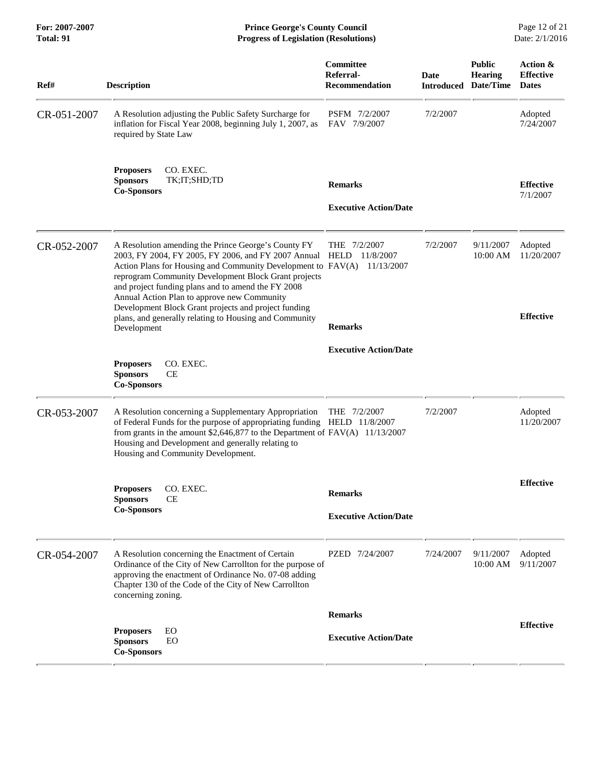**For: 2007-2007 Prince George's County Council** Page 12 of 21<br> **Prince George's County Council** Page 12 of 21<br> **Progress of Legislation (Resolutions)** Date: 2/1/2016 **Total: 91 Progress of Legislation (Resolutions)** 

| Ref#        | <b>Description</b>                                                                                                                                                                                                                                                                                                                                                                                                                                                                  | Committee<br>Referral-<br><b>Recommendation</b>    | <b>Date</b><br><b>Introduced</b> | <b>Public</b><br><b>Hearing</b><br>Date/Time | Action &<br><b>Effective</b><br><b>Dates</b> |
|-------------|-------------------------------------------------------------------------------------------------------------------------------------------------------------------------------------------------------------------------------------------------------------------------------------------------------------------------------------------------------------------------------------------------------------------------------------------------------------------------------------|----------------------------------------------------|----------------------------------|----------------------------------------------|----------------------------------------------|
| CR-051-2007 | A Resolution adjusting the Public Safety Surcharge for<br>inflation for Fiscal Year 2008, beginning July 1, 2007, as<br>required by State Law                                                                                                                                                                                                                                                                                                                                       | PSFM 7/2/2007<br>FAV 7/9/2007                      | 7/2/2007                         |                                              | Adopted<br>7/24/2007                         |
|             | CO. EXEC.<br><b>Proposers</b><br>TK;IT;SHD;TD<br><b>Sponsors</b><br><b>Co-Sponsors</b>                                                                                                                                                                                                                                                                                                                                                                                              | <b>Remarks</b><br><b>Executive Action/Date</b>     |                                  |                                              | <b>Effective</b><br>7/1/2007                 |
| CR-052-2007 | A Resolution amending the Prince George's County FY<br>2003, FY 2004, FY 2005, FY 2006, and FY 2007 Annual<br>Action Plans for Housing and Community Development to FAV(A) 11/13/2007<br>reprogram Community Development Block Grant projects<br>and project funding plans and to amend the FY 2008<br>Annual Action Plan to approve new Community<br>Development Block Grant projects and project funding<br>plans, and generally relating to Housing and Community<br>Development | THE $7/2/2007$<br>HELD 11/8/2007<br><b>Remarks</b> | 7/2/2007                         | 9/11/2007<br>10:00 AM                        | Adopted<br>11/20/2007<br><b>Effective</b>    |
|             | CO. EXEC.<br><b>Proposers</b><br><b>CE</b><br><b>Sponsors</b><br><b>Co-Sponsors</b>                                                                                                                                                                                                                                                                                                                                                                                                 | <b>Executive Action/Date</b>                       |                                  |                                              |                                              |
| CR-053-2007 | A Resolution concerning a Supplementary Appropriation<br>of Federal Funds for the purpose of appropriating funding HELD 11/8/2007<br>from grants in the amount \$2,646,877 to the Department of FAV(A) 11/13/2007<br>Housing and Development and generally relating to<br>Housing and Community Development.                                                                                                                                                                        | THE 7/2/2007                                       | 7/2/2007                         |                                              | Adopted<br>11/20/2007                        |
|             | CO. EXEC.<br><b>Proposers</b><br><b>Sponsors</b><br>CЕ<br><b>Co-Sponsors</b>                                                                                                                                                                                                                                                                                                                                                                                                        | <b>Remarks</b><br><b>Executive Action/Date</b>     |                                  |                                              | <b>Effective</b>                             |
| CR-054-2007 | A Resolution concerning the Enactment of Certain<br>Ordinance of the City of New Carrollton for the purpose of<br>approving the enactment of Ordinance No. 07-08 adding<br>Chapter 130 of the Code of the City of New Carrollton<br>concerning zoning.                                                                                                                                                                                                                              | PZED 7/24/2007                                     | 7/24/2007                        | 9/11/2007<br>10:00 AM                        | Adopted<br>9/11/2007                         |
|             |                                                                                                                                                                                                                                                                                                                                                                                                                                                                                     | <b>Remarks</b>                                     |                                  |                                              |                                              |
|             | <b>Proposers</b><br>EO<br><b>Sponsors</b><br>EO<br><b>Co-Sponsors</b>                                                                                                                                                                                                                                                                                                                                                                                                               | <b>Executive Action/Date</b>                       |                                  |                                              | <b>Effective</b>                             |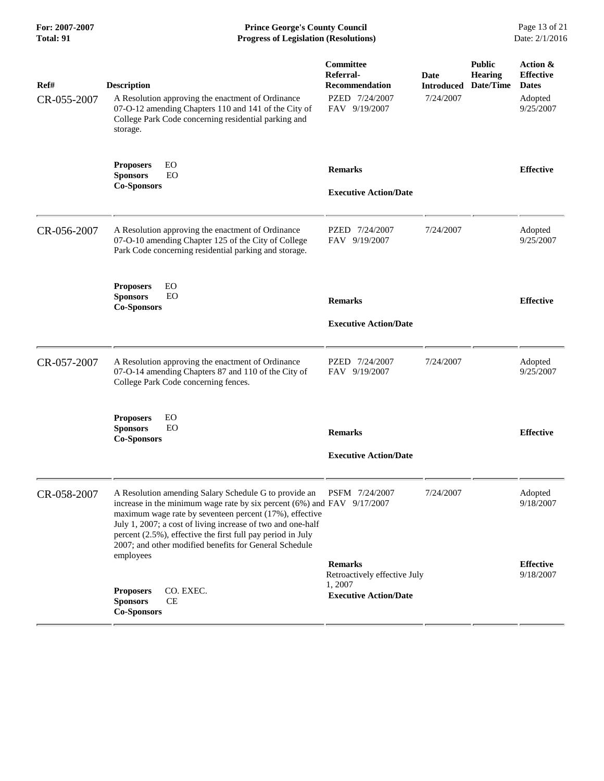**For: 2007-2007 Prince George's County Council** Page 13 of 21<br>**Progress of Legislation (Resolutions)** Date: 2/1/2016 **Total: 91 Progress of Legislation (Resolutions)** 

| Ref#        | <b>Description</b>                                                                                                                                                                                                                                                                                                                                                                      | Committee<br>Referral-<br><b>Recommendation</b> | Date<br><b>Introduced</b> | <b>Public</b><br><b>Hearing</b><br>Date/Time | Action &<br><b>Effective</b><br><b>Dates</b> |
|-------------|-----------------------------------------------------------------------------------------------------------------------------------------------------------------------------------------------------------------------------------------------------------------------------------------------------------------------------------------------------------------------------------------|-------------------------------------------------|---------------------------|----------------------------------------------|----------------------------------------------|
| CR-055-2007 | A Resolution approving the enactment of Ordinance<br>07-O-12 amending Chapters 110 and 141 of the City of<br>College Park Code concerning residential parking and<br>storage.                                                                                                                                                                                                           | PZED 7/24/2007<br>FAV 9/19/2007                 | 7/24/2007                 |                                              | Adopted<br>9/25/2007                         |
|             | EO<br><b>Proposers</b><br><b>Sponsors</b><br>EO<br><b>Co-Sponsors</b>                                                                                                                                                                                                                                                                                                                   | <b>Remarks</b>                                  |                           |                                              | <b>Effective</b>                             |
|             |                                                                                                                                                                                                                                                                                                                                                                                         | <b>Executive Action/Date</b>                    |                           |                                              |                                              |
| CR-056-2007 | A Resolution approving the enactment of Ordinance<br>07-O-10 amending Chapter 125 of the City of College<br>Park Code concerning residential parking and storage.                                                                                                                                                                                                                       | PZED 7/24/2007<br>FAV 9/19/2007                 | 7/24/2007                 |                                              | Adopted<br>9/25/2007                         |
|             | EO<br><b>Proposers</b><br><b>Sponsors</b><br>EO<br><b>Co-Sponsors</b>                                                                                                                                                                                                                                                                                                                   | <b>Remarks</b>                                  |                           |                                              | <b>Effective</b>                             |
|             |                                                                                                                                                                                                                                                                                                                                                                                         | <b>Executive Action/Date</b>                    |                           |                                              |                                              |
| CR-057-2007 | A Resolution approving the enactment of Ordinance<br>07-O-14 amending Chapters 87 and 110 of the City of<br>College Park Code concerning fences.                                                                                                                                                                                                                                        | PZED 7/24/2007<br>FAV 9/19/2007                 | 7/24/2007                 |                                              | Adopted<br>9/25/2007                         |
|             | <b>Proposers</b><br>EO<br>EO<br><b>Sponsors</b><br><b>Co-Sponsors</b>                                                                                                                                                                                                                                                                                                                   | <b>Remarks</b>                                  |                           |                                              | <b>Effective</b>                             |
|             |                                                                                                                                                                                                                                                                                                                                                                                         | <b>Executive Action/Date</b>                    |                           |                                              |                                              |
| CR-058-2007 | A Resolution amending Salary Schedule G to provide an<br>increase in the minimum wage rate by six percent $(6%)$ and FAV $9/17/2007$<br>maximum wage rate by seventeen percent (17%), effective<br>July 1, 2007; a cost of living increase of two and one-half<br>percent (2.5%), effective the first full pay period in July<br>2007; and other modified benefits for General Schedule | PSFM 7/24/2007                                  | 7/24/2007                 |                                              | Adopted<br>9/18/2007                         |
|             | employees                                                                                                                                                                                                                                                                                                                                                                               | <b>Remarks</b><br>Retroactively effective July  |                           |                                              | <b>Effective</b><br>9/18/2007                |
|             | CO. EXEC.<br><b>Proposers</b><br><b>Sponsors</b><br><b>CE</b><br><b>Co-Sponsors</b>                                                                                                                                                                                                                                                                                                     | 1,2007<br><b>Executive Action/Date</b>          |                           |                                              |                                              |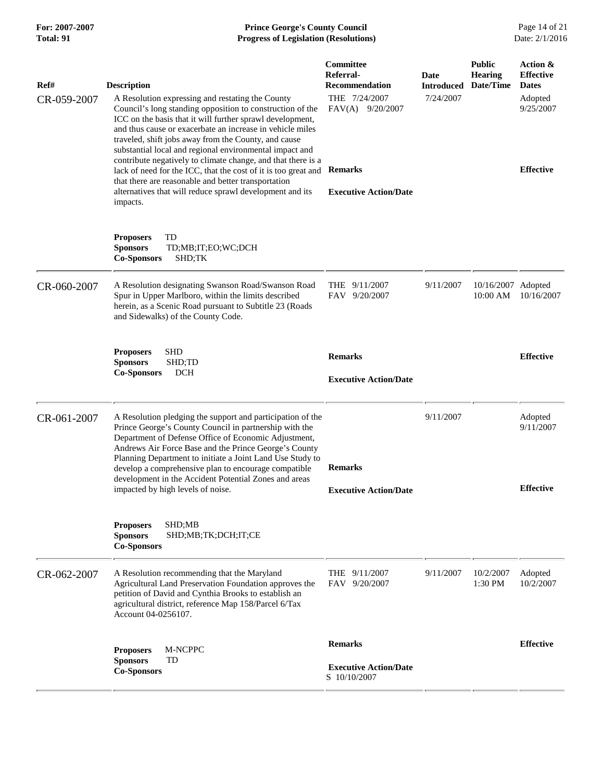## **For: 2007-2007 Prince George's County Council** Page 14 of 21<br>**Progress of Legislation (Resolutions)** Date: 2/1/2016 **Total: 91 Progress of Legislation (Resolutions)**

| Ref#        | <b>Description</b>                                                                                                                                                                                                                                                                                                                                                                                                                                       | Committee<br>Referral-<br><b>Recommendation</b>                | <b>Date</b><br><b>Introduced</b> | <b>Public</b><br><b>Hearing</b><br>Date/Time | Action &<br><b>Effective</b><br><b>Dates</b> |
|-------------|----------------------------------------------------------------------------------------------------------------------------------------------------------------------------------------------------------------------------------------------------------------------------------------------------------------------------------------------------------------------------------------------------------------------------------------------------------|----------------------------------------------------------------|----------------------------------|----------------------------------------------|----------------------------------------------|
| CR-059-2007 | A Resolution expressing and restating the County<br>Council's long standing opposition to construction of the<br>ICC on the basis that it will further sprawl development,<br>and thus cause or exacerbate an increase in vehicle miles<br>traveled, shift jobs away from the County, and cause<br>substantial local and regional environmental impact and                                                                                               | THE 7/24/2007<br>FAV(A) 9/20/2007                              | 7/24/2007                        |                                              | Adopted<br>9/25/2007                         |
|             | contribute negatively to climate change, and that there is a<br>lack of need for the ICC, that the cost of it is too great and<br>that there are reasonable and better transportation<br>alternatives that will reduce sprawl development and its<br>impacts.                                                                                                                                                                                            | <b>Remarks</b><br><b>Executive Action/Date</b>                 |                                  |                                              | <b>Effective</b>                             |
|             | <b>Proposers</b><br>TD<br><b>Sponsors</b><br>TD;MB;IT;EO;WC;DCH<br><b>Co-Sponsors</b><br>SHD;TK                                                                                                                                                                                                                                                                                                                                                          |                                                                |                                  |                                              |                                              |
| CR-060-2007 | A Resolution designating Swanson Road/Swanson Road<br>Spur in Upper Marlboro, within the limits described<br>herein, as a Scenic Road pursuant to Subtitle 23 (Roads<br>and Sidewalks) of the County Code.                                                                                                                                                                                                                                               | THE 9/11/2007<br>FAV 9/20/2007                                 | 9/11/2007                        | 10/16/2007 Adopted<br>10:00 AM               | 10/16/2007                                   |
|             | <b>SHD</b><br><b>Proposers</b><br><b>Sponsors</b><br>SHD;TD<br><b>Co-Sponsors</b><br><b>DCH</b>                                                                                                                                                                                                                                                                                                                                                          | <b>Remarks</b><br><b>Executive Action/Date</b>                 |                                  |                                              | <b>Effective</b>                             |
| CR-061-2007 | A Resolution pledging the support and participation of the<br>Prince George's County Council in partnership with the<br>Department of Defense Office of Economic Adjustment,<br>Andrews Air Force Base and the Prince George's County<br>Planning Department to initiate a Joint Land Use Study to<br>develop a comprehensive plan to encourage compatible<br>development in the Accident Potential Zones and areas<br>impacted by high levels of noise. | <b>Remarks</b><br><b>Executive Action/Date</b>                 | 9/11/2007                        |                                              | Adopted<br>9/11/2007<br><b>Effective</b>     |
|             | <b>Proposers</b><br>SHD;MB<br>SHD;MB;TK;DCH;IT;CE<br><b>Sponsors</b><br><b>Co-Sponsors</b>                                                                                                                                                                                                                                                                                                                                                               |                                                                |                                  |                                              |                                              |
| CR-062-2007 | A Resolution recommending that the Maryland<br>Agricultural Land Preservation Foundation approves the<br>petition of David and Cynthia Brooks to establish an<br>agricultural district, reference Map 158/Parcel 6/Tax<br>Account 04-0256107.                                                                                                                                                                                                            | THE<br>9/11/2007<br>FAV 9/20/2007                              | 9/11/2007                        | 10/2/2007<br>$1:30$ PM                       | Adopted<br>10/2/2007                         |
|             | M-NCPPC<br><b>Proposers</b><br><b>Sponsors</b><br>TD<br><b>Co-Sponsors</b>                                                                                                                                                                                                                                                                                                                                                                               | <b>Remarks</b><br><b>Executive Action/Date</b><br>S 10/10/2007 |                                  |                                              | <b>Effective</b>                             |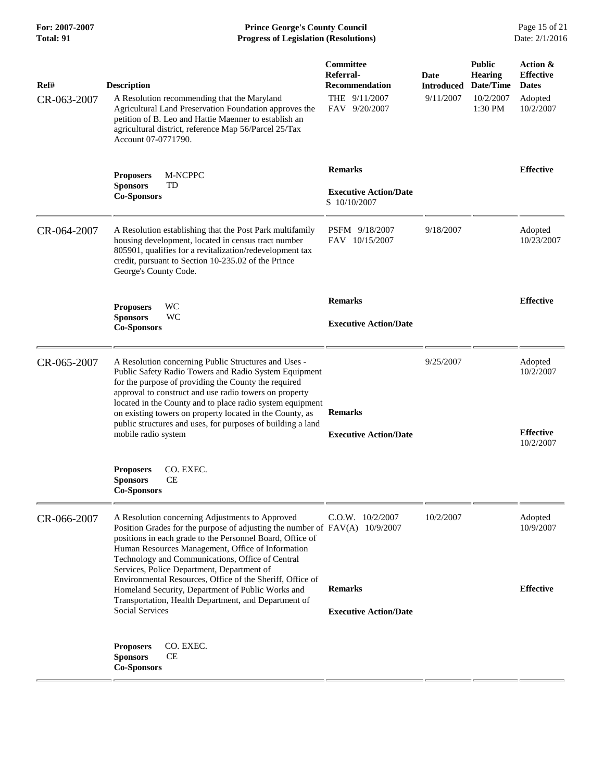**For: 2007-2007 Prince George's County Council** Page 15 of 21<br> **Progress of Legislation (Resolutions)** Date: 2/1/2016 **Total: 91 Progress of Legislation (Resolutions)** 

| Ref#<br>CR-063-2007 | <b>Description</b><br>A Resolution recommending that the Maryland<br>Agricultural Land Preservation Foundation approves the<br>petition of B. Leo and Hattie Maenner to establish an<br>agricultural district, reference Map 56/Parcel 25/Tax<br>Account 07-0771790.                                                                                                                                                                           | Committee<br>Referral-<br><b>Recommendation</b><br>THE 9/11/2007<br>FAV 9/20/2007 | Date<br><b>Introduced</b><br>9/11/2007 | <b>Public</b><br><b>Hearing</b><br>Date/Time<br>10/2/2007<br>1:30 PM | Action &<br><b>Effective</b><br><b>Dates</b><br>Adopted<br>10/2/2007 |
|---------------------|------------------------------------------------------------------------------------------------------------------------------------------------------------------------------------------------------------------------------------------------------------------------------------------------------------------------------------------------------------------------------------------------------------------------------------------------|-----------------------------------------------------------------------------------|----------------------------------------|----------------------------------------------------------------------|----------------------------------------------------------------------|
|                     | <b>Proposers</b><br><b>M-NCPPC</b><br><b>Sponsors</b><br>TD<br><b>Co-Sponsors</b>                                                                                                                                                                                                                                                                                                                                                              | <b>Remarks</b><br><b>Executive Action/Date</b><br>S 10/10/2007                    |                                        |                                                                      | <b>Effective</b>                                                     |
| CR-064-2007         | A Resolution establishing that the Post Park multifamily<br>housing development, located in census tract number<br>805901, qualifies for a revitalization/redevelopment tax<br>credit, pursuant to Section 10-235.02 of the Prince<br>George's County Code.                                                                                                                                                                                    | PSFM 9/18/2007<br>FAV 10/15/2007                                                  | 9/18/2007                              |                                                                      | Adopted<br>10/23/2007                                                |
|                     | WC<br><b>Proposers</b><br><b>Sponsors</b><br>WC<br><b>Co-Sponsors</b>                                                                                                                                                                                                                                                                                                                                                                          | <b>Remarks</b><br><b>Executive Action/Date</b>                                    |                                        |                                                                      | <b>Effective</b>                                                     |
| CR-065-2007         | A Resolution concerning Public Structures and Uses -<br>Public Safety Radio Towers and Radio System Equipment<br>for the purpose of providing the County the required<br>approval to construct and use radio towers on property<br>located in the County and to place radio system equipment<br>on existing towers on property located in the County, as<br>public structures and uses, for purposes of building a land<br>mobile radio system | <b>Remarks</b><br><b>Executive Action/Date</b>                                    | 9/25/2007                              |                                                                      | Adopted<br>10/2/2007<br><b>Effective</b><br>10/2/2007                |
|                     | CO. EXEC.<br><b>Proposers</b><br><b>Sponsors</b><br>CE<br><b>Co-Sponsors</b>                                                                                                                                                                                                                                                                                                                                                                   |                                                                                   |                                        |                                                                      |                                                                      |
| CR-066-2007         | A Resolution concerning Adjustments to Approved<br>Position Grades for the purpose of adjusting the number of $FAV(A)$ 10/9/2007<br>positions in each grade to the Personnel Board, Office of<br>Human Resources Management, Office of Information<br>Technology and Communications, Office of Central<br>Services, Police Department, Department of                                                                                           | $C.O.W.$ $10/2/2007$                                                              | 10/2/2007                              |                                                                      | Adopted<br>10/9/2007                                                 |
|                     | Environmental Resources, Office of the Sheriff, Office of<br>Homeland Security, Department of Public Works and<br>Transportation, Health Department, and Department of<br><b>Social Services</b>                                                                                                                                                                                                                                               | <b>Remarks</b><br><b>Executive Action/Date</b>                                    |                                        |                                                                      | <b>Effective</b>                                                     |
|                     | CO. EXEC.<br><b>Proposers</b><br>CE<br><b>Sponsors</b><br><b>Co-Sponsors</b>                                                                                                                                                                                                                                                                                                                                                                   |                                                                                   |                                        |                                                                      |                                                                      |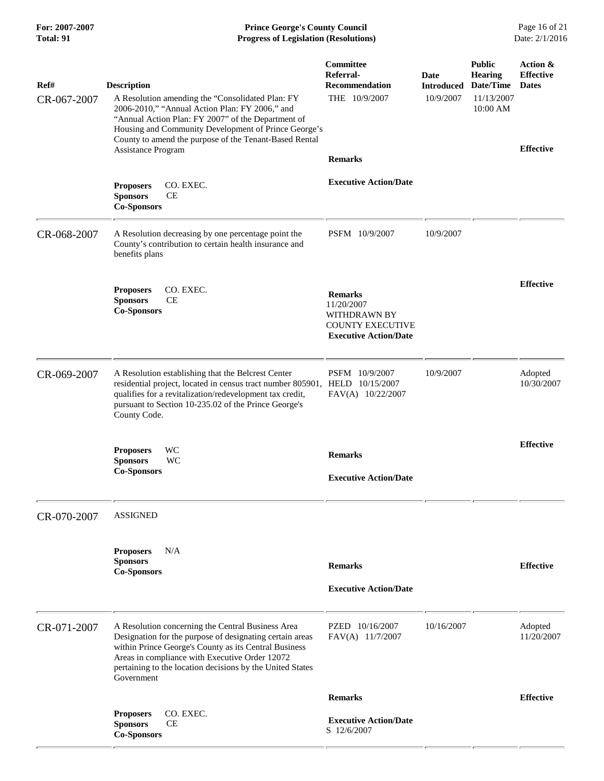## **For: 2007-2007 Prince George's County Council** Page 16 of 21<br> **Progress of Legislation (Resolutions)** Date: 2/1/2016 **Total: 91 Progress of Legislation (Resolutions)**

| Ref#        | <b>Description</b>                                                                                                                                                                                                                                                                                  | Committee<br>Referral-<br><b>Recommendation</b>                                                         | Date<br><b>Introduced</b> | <b>Public</b><br>Hearing<br>Date/Time | Action &<br><b>Effective</b><br><b>Dates</b> |
|-------------|-----------------------------------------------------------------------------------------------------------------------------------------------------------------------------------------------------------------------------------------------------------------------------------------------------|---------------------------------------------------------------------------------------------------------|---------------------------|---------------------------------------|----------------------------------------------|
| CR-067-2007 | A Resolution amending the "Consolidated Plan: FY<br>2006-2010," "Annual Action Plan: FY 2006," and<br>"Annual Action Plan: FY 2007" of the Department of<br>Housing and Community Development of Prince George's<br>County to amend the purpose of the Tenant-Based Rental                          | THE 10/9/2007                                                                                           | 10/9/2007                 | 11/13/2007<br>10:00 AM                |                                              |
|             | Assistance Program                                                                                                                                                                                                                                                                                  | <b>Remarks</b>                                                                                          |                           |                                       | <b>Effective</b>                             |
|             | CO. EXEC.<br><b>Proposers</b><br><b>Sponsors</b><br>CЕ<br><b>Co-Sponsors</b>                                                                                                                                                                                                                        | <b>Executive Action/Date</b>                                                                            |                           |                                       |                                              |
| CR-068-2007 | A Resolution decreasing by one percentage point the<br>County's contribution to certain health insurance and<br>benefits plans                                                                                                                                                                      | PSFM 10/9/2007                                                                                          | 10/9/2007                 |                                       |                                              |
|             | CO. EXEC.<br><b>Proposers</b><br><b>Sponsors</b><br><b>CE</b><br><b>Co-Sponsors</b>                                                                                                                                                                                                                 | <b>Remarks</b><br>11/20/2007<br>WITHDRAWN BY<br><b>COUNTY EXECUTIVE</b><br><b>Executive Action/Date</b> |                           |                                       | <b>Effective</b>                             |
| CR-069-2007 | A Resolution establishing that the Belcrest Center<br>residential project, located in census tract number 805901, HELD 10/15/2007<br>qualifies for a revitalization/redevelopment tax credit,<br>pursuant to Section 10-235.02 of the Prince George's<br>County Code.                               | PSFM 10/9/2007<br>FAV(A) 10/22/2007                                                                     | 10/9/2007                 |                                       | Adopted<br>10/30/2007                        |
|             | <b>Proposers</b><br>WC<br>WC<br><b>Sponsors</b><br><b>Co-Sponsors</b>                                                                                                                                                                                                                               | <b>Remarks</b><br><b>Executive Action/Date</b>                                                          |                           |                                       | <b>Effective</b>                             |
| CR-070-2007 | <b>ASSIGNED</b>                                                                                                                                                                                                                                                                                     |                                                                                                         |                           |                                       |                                              |
|             | <b>Proposers</b><br>N/A<br><b>Sponsors</b><br><b>Co-Sponsors</b>                                                                                                                                                                                                                                    | <b>Remarks</b><br><b>Executive Action/Date</b>                                                          |                           |                                       | <b>Effective</b>                             |
| CR-071-2007 | A Resolution concerning the Central Business Area<br>Designation for the purpose of designating certain areas<br>within Prince George's County as its Central Business<br>Areas in compliance with Executive Order 12072<br>pertaining to the location decisions by the United States<br>Government | PZED 10/16/2007<br>FAV(A) 11/7/2007                                                                     | 10/16/2007                |                                       | Adopted<br>11/20/2007                        |
|             |                                                                                                                                                                                                                                                                                                     | <b>Remarks</b>                                                                                          |                           |                                       | <b>Effective</b>                             |
|             | <b>Proposers</b><br>CO. EXEC.<br><b>Sponsors</b><br>CЕ<br><b>Co-Sponsors</b>                                                                                                                                                                                                                        | <b>Executive Action/Date</b><br>S 12/6/2007                                                             |                           |                                       |                                              |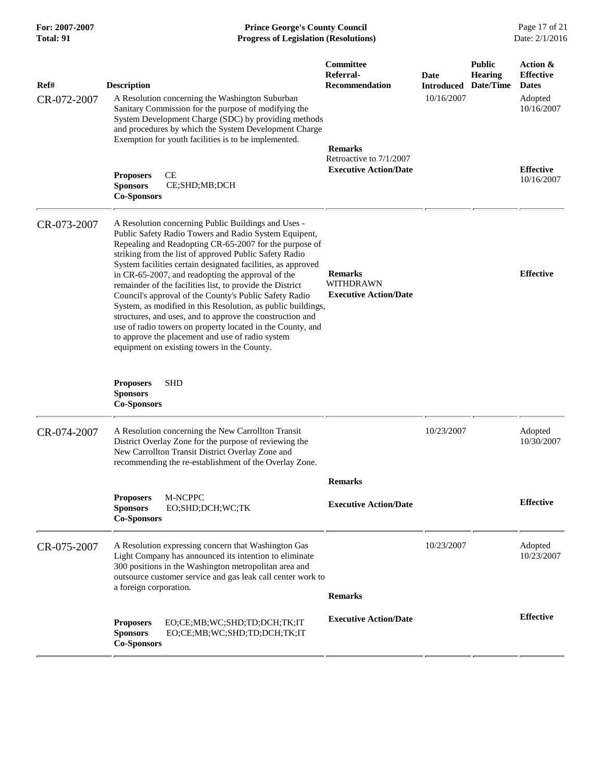**For: 2007-2007 Prince George's County Council** Page 17 of 21<br> **Progress of Legislation (Resolutions)** Date: 2/1/2016 **Total: 91 Progress of Legislation (Resolutions)** 

| Ref#<br>CR-072-2007 | <b>Description</b><br>A Resolution concerning the Washington Suburban<br>Sanitary Commission for the purpose of modifying the<br>System Development Charge (SDC) by providing methods<br>and procedures by which the System Development Charge<br>Exemption for youth facilities is to be implemented.<br>CE<br><b>Proposers</b><br>CE;SHD;MB;DCH<br><b>Sponsors</b><br><b>Co-Sponsors</b>                                                                                                                                                                                                                                                                                                                                                                                 | Committee<br>Referral-<br><b>Recommendation</b><br><b>Remarks</b><br>Retroactive to 7/1/2007<br><b>Executive Action/Date</b> | Date<br><b>Introduced</b><br>10/16/2007 | <b>Public</b><br><b>Hearing</b><br>Date/Time | Action &<br><b>Effective</b><br><b>Dates</b><br>Adopted<br>10/16/2007<br><b>Effective</b><br>10/16/2007 |
|---------------------|----------------------------------------------------------------------------------------------------------------------------------------------------------------------------------------------------------------------------------------------------------------------------------------------------------------------------------------------------------------------------------------------------------------------------------------------------------------------------------------------------------------------------------------------------------------------------------------------------------------------------------------------------------------------------------------------------------------------------------------------------------------------------|------------------------------------------------------------------------------------------------------------------------------|-----------------------------------------|----------------------------------------------|---------------------------------------------------------------------------------------------------------|
| CR-073-2007         | A Resolution concerning Public Buildings and Uses -<br>Public Safety Radio Towers and Radio System Equipent,<br>Repealing and Readopting CR-65-2007 for the purpose of<br>striking from the list of approved Public Safety Radio<br>System facilities certain designated facilities, as approved<br>in CR-65-2007, and readopting the approval of the<br>remainder of the facilities list, to provide the District<br>Council's approval of the County's Public Safety Radio<br>System, as modified in this Resolution, as public buildings,<br>structures, and uses, and to approve the construction and<br>use of radio towers on property located in the County, and<br>to approve the placement and use of radio system<br>equipment on existing towers in the County. | <b>Remarks</b><br>WITHDRAWN<br><b>Executive Action/Date</b>                                                                  |                                         |                                              | <b>Effective</b>                                                                                        |
|                     | <b>SHD</b><br><b>Proposers</b><br><b>Sponsors</b><br><b>Co-Sponsors</b>                                                                                                                                                                                                                                                                                                                                                                                                                                                                                                                                                                                                                                                                                                    |                                                                                                                              |                                         |                                              |                                                                                                         |
| CR-074-2007         | A Resolution concerning the New Carrollton Transit<br>District Overlay Zone for the purpose of reviewing the<br>New Carrollton Transit District Overlay Zone and<br>recommending the re-establishment of the Overlay Zone.                                                                                                                                                                                                                                                                                                                                                                                                                                                                                                                                                 |                                                                                                                              | 10/23/2007                              |                                              | Adopted<br>10/30/2007                                                                                   |
|                     |                                                                                                                                                                                                                                                                                                                                                                                                                                                                                                                                                                                                                                                                                                                                                                            | <b>Remarks</b>                                                                                                               |                                         |                                              |                                                                                                         |
|                     | M-NCPPC<br><b>Proposers</b><br>EO;SHD;DCH;WC;TK<br><b>Sponsors</b><br><b>Co-Sponsors</b>                                                                                                                                                                                                                                                                                                                                                                                                                                                                                                                                                                                                                                                                                   | <b>Executive Action/Date</b>                                                                                                 |                                         |                                              | <b>Effective</b>                                                                                        |
| CR-075-2007         | A Resolution expressing concern that Washington Gas<br>Light Company has announced its intention to eliminate<br>300 positions in the Washington metropolitan area and<br>outsource customer service and gas leak call center work to<br>a foreign corporation.                                                                                                                                                                                                                                                                                                                                                                                                                                                                                                            | <b>Remarks</b>                                                                                                               | 10/23/2007                              |                                              | Adopted<br>10/23/2007                                                                                   |
|                     | <b>Proposers</b><br>EO;CE;MB;WC;SHD;TD;DCH;TK;IT<br><b>Sponsors</b><br>EO;CE;MB;WC;SHD;TD;DCH;TK;IT<br><b>Co-Sponsors</b>                                                                                                                                                                                                                                                                                                                                                                                                                                                                                                                                                                                                                                                  | <b>Executive Action/Date</b>                                                                                                 |                                         |                                              | <b>Effective</b>                                                                                        |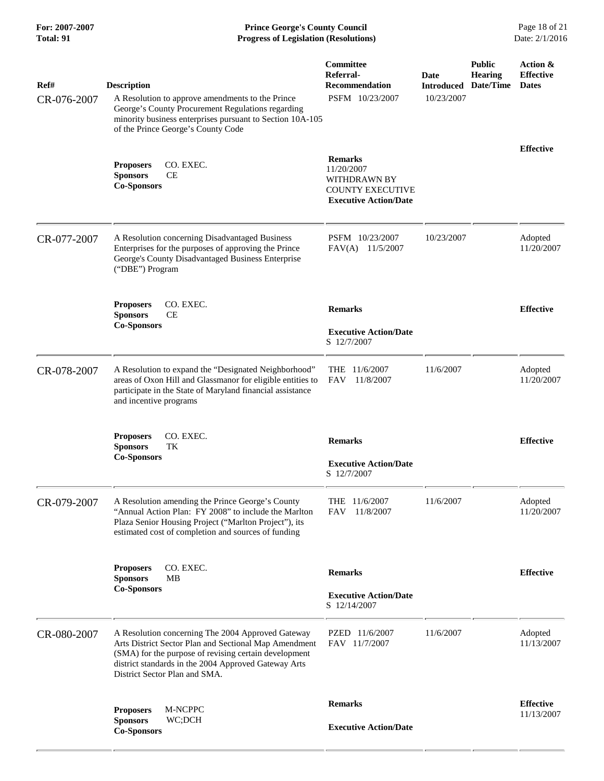**For: 2007-2007 Prince George's County Council** Page 18 of 21<br> **Prince George's County Council** Page 18 of 21<br> **Progress of Legislation (Resolutions)** Date: 2/1/2016 **Total: 91 Progress of Legislation (Resolutions)** 

| Ref#<br>CR-076-2007 | <b>Description</b><br>A Resolution to approve amendments to the Prince<br>George's County Procurement Regulations regarding<br>minority business enterprises pursuant to Section 10A-105<br>of the Prince George's County Code                               | <b>Committee</b><br>Referral-<br><b>Recommendation</b><br>PSFM 10/23/2007                               | Date<br><b>Introduced Date/Time</b><br>10/23/2007 | <b>Public</b><br><b>Hearing</b> | Action &<br><b>Effective</b><br><b>Dates</b> |
|---------------------|--------------------------------------------------------------------------------------------------------------------------------------------------------------------------------------------------------------------------------------------------------------|---------------------------------------------------------------------------------------------------------|---------------------------------------------------|---------------------------------|----------------------------------------------|
|                     | CO. EXEC.<br><b>Proposers</b><br>CE<br><b>Sponsors</b><br><b>Co-Sponsors</b>                                                                                                                                                                                 | <b>Remarks</b><br>11/20/2007<br>WITHDRAWN BY<br><b>COUNTY EXECUTIVE</b><br><b>Executive Action/Date</b> |                                                   |                                 | <b>Effective</b>                             |
| CR-077-2007         | A Resolution concerning Disadvantaged Business<br>Enterprises for the purposes of approving the Prince<br>George's County Disadvantaged Business Enterprise<br>("DBE") Program                                                                               | PSFM 10/23/2007<br>11/5/2007<br>FAV(A)                                                                  | 10/23/2007                                        |                                 | Adopted<br>11/20/2007                        |
|                     | CO. EXEC.<br><b>Proposers</b><br><b>Sponsors</b><br>CЕ<br><b>Co-Sponsors</b>                                                                                                                                                                                 | <b>Remarks</b><br><b>Executive Action/Date</b><br>S 12/7/2007                                           |                                                   |                                 | <b>Effective</b>                             |
| CR-078-2007         | A Resolution to expand the "Designated Neighborhood"<br>areas of Oxon Hill and Glassmanor for eligible entities to<br>participate in the State of Maryland financial assistance<br>and incentive programs                                                    | 11/6/2007<br><b>THE</b><br>11/8/2007<br>FAV                                                             | 11/6/2007                                         |                                 | Adopted<br>11/20/2007                        |
|                     | CO. EXEC.<br><b>Proposers</b><br><b>Sponsors</b><br>TК<br><b>Co-Sponsors</b>                                                                                                                                                                                 | <b>Remarks</b><br><b>Executive Action/Date</b><br>S 12/7/2007                                           |                                                   |                                 | <b>Effective</b>                             |
| CR-079-2007         | A Resolution amending the Prince George's County<br>"Annual Action Plan: FY 2008" to include the Marlton<br>Plaza Senior Housing Project ("Marlton Project"), its<br>estimated cost of completion and sources of funding                                     | THE 11/6/2007<br>FAV<br>11/8/2007                                                                       | 11/6/2007                                         |                                 | Adopted<br>11/20/2007                        |
|                     | CO. EXEC.<br><b>Proposers</b><br><b>Sponsors</b><br>MВ<br><b>Co-Sponsors</b>                                                                                                                                                                                 | <b>Remarks</b><br><b>Executive Action/Date</b><br>S 12/14/2007                                          |                                                   |                                 | <b>Effective</b>                             |
| CR-080-2007         | A Resolution concerning The 2004 Approved Gateway<br>Arts District Sector Plan and Sectional Map Amendment<br>(SMA) for the purpose of revising certain development<br>district standards in the 2004 Approved Gateway Arts<br>District Sector Plan and SMA. | PZED 11/6/2007<br>FAV 11/7/2007                                                                         | 11/6/2007                                         |                                 | Adopted<br>11/13/2007                        |
|                     | M-NCPPC<br><b>Proposers</b><br><b>Sponsors</b><br>WC;DCH                                                                                                                                                                                                     | <b>Remarks</b>                                                                                          |                                                   |                                 | <b>Effective</b><br>11/13/2007               |
|                     | <b>Co-Sponsors</b>                                                                                                                                                                                                                                           | <b>Executive Action/Date</b>                                                                            |                                                   |                                 |                                              |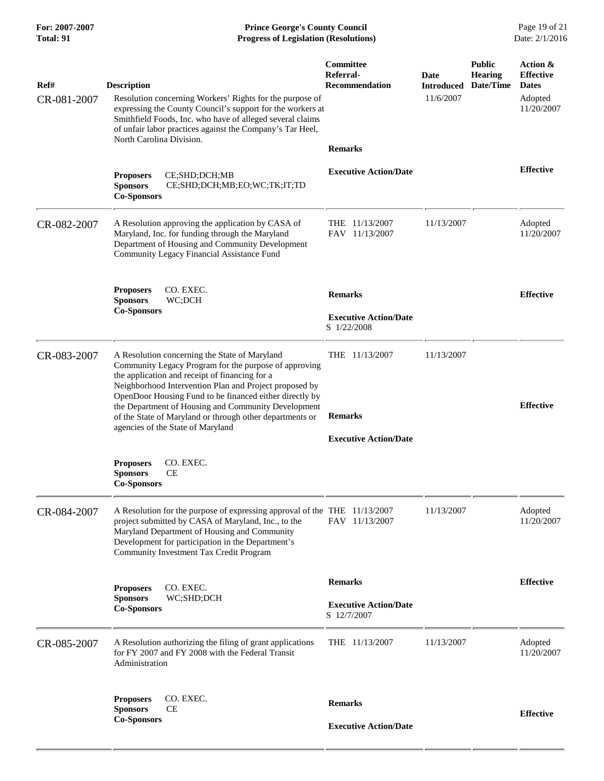| For: 2007-2007<br>Total: 91 | <b>Prince George's County Council</b><br>Date: 2/1/2016<br><b>Progress of Legislation (Resolutions)</b>                                                                                                                                                                                                                                                                                          |                                                 |                                        |                                       |                                                                       |
|-----------------------------|--------------------------------------------------------------------------------------------------------------------------------------------------------------------------------------------------------------------------------------------------------------------------------------------------------------------------------------------------------------------------------------------------|-------------------------------------------------|----------------------------------------|---------------------------------------|-----------------------------------------------------------------------|
| Ref#<br>CR-081-2007         | <b>Description</b><br>Resolution concerning Workers' Rights for the purpose of<br>expressing the County Council's support for the workers at<br>Smithfield Foods, Inc. who have of alleged several claims<br>of unfair labor practices against the Company's Tar Heel,                                                                                                                           | Committee<br>Referral-<br><b>Recommendation</b> | Date<br><b>Introduced</b><br>11/6/2007 | <b>Public</b><br>Hearing<br>Date/Time | Action &<br><b>Effective</b><br><b>Dates</b><br>Adopted<br>11/20/2007 |
|                             | North Carolina Division.                                                                                                                                                                                                                                                                                                                                                                         | <b>Remarks</b>                                  |                                        |                                       |                                                                       |
|                             | CE;SHD;DCH;MB<br><b>Proposers</b><br>CE;SHD;DCH;MB;EO;WC;TK;IT;TD<br><b>Sponsors</b><br><b>Co-Sponsors</b>                                                                                                                                                                                                                                                                                       | <b>Executive Action/Date</b>                    |                                        |                                       | <b>Effective</b>                                                      |
| CR-082-2007                 | A Resolution approving the application by CASA of<br>Maryland, Inc. for funding through the Maryland<br>Department of Housing and Community Development<br>Community Legacy Financial Assistance Fund                                                                                                                                                                                            | THE 11/13/2007<br>FAV 11/13/2007                | 11/13/2007                             |                                       | Adopted<br>11/20/2007                                                 |
|                             | CO. EXEC.<br><b>Proposers</b>                                                                                                                                                                                                                                                                                                                                                                    | <b>Remarks</b>                                  |                                        |                                       | <b>Effective</b>                                                      |
|                             | <b>Sponsors</b><br>WC;DCH<br><b>Co-Sponsors</b>                                                                                                                                                                                                                                                                                                                                                  | <b>Executive Action/Date</b><br>S 1/22/2008     |                                        |                                       |                                                                       |
| CR-083-2007                 | A Resolution concerning the State of Maryland<br>Community Legacy Program for the purpose of approving<br>the application and receipt of financing for a<br>Neighborhood Intervention Plan and Project proposed by<br>OpenDoor Housing Fund to be financed either directly by<br>the Department of Housing and Community Development<br>of the State of Maryland or through other departments or | THE 11/13/2007<br><b>Remarks</b>                | 11/13/2007                             |                                       | <b>Effective</b>                                                      |
|                             | agencies of the State of Maryland                                                                                                                                                                                                                                                                                                                                                                | <b>Executive Action/Date</b>                    |                                        |                                       |                                                                       |
|                             | CO. EXEC.<br><b>Proposers</b><br>CЕ<br><b>Sponsors</b><br><b>Co-Sponsors</b>                                                                                                                                                                                                                                                                                                                     |                                                 |                                        |                                       |                                                                       |
| CR-084-2007                 | A Resolution for the purpose of expressing approval of the THE 11/13/2007<br>project submitted by CASA of Maryland, Inc., to the<br>Maryland Department of Housing and Community<br>Development for participation in the Department's<br>Community Investment Tax Credit Program                                                                                                                 | FAV 11/13/2007                                  | 11/13/2007                             |                                       | Adopted<br>11/20/2007                                                 |
|                             | CO. EXEC.<br><b>Proposers</b>                                                                                                                                                                                                                                                                                                                                                                    | <b>Remarks</b>                                  |                                        |                                       | <b>Effective</b>                                                      |
|                             | <b>Sponsors</b><br>WC;SHD;DCH<br><b>Co-Sponsors</b>                                                                                                                                                                                                                                                                                                                                              | <b>Executive Action/Date</b><br>S 12/7/2007     |                                        |                                       |                                                                       |
| CR-085-2007                 | A Resolution authorizing the filing of grant applications<br>for FY 2007 and FY 2008 with the Federal Transit<br>Administration                                                                                                                                                                                                                                                                  | THE 11/13/2007                                  | 11/13/2007                             |                                       | Adopted<br>11/20/2007                                                 |
|                             | CO. EXEC.<br><b>Proposers</b><br><b>Sponsors</b><br>СE<br><b>Co-Sponsors</b>                                                                                                                                                                                                                                                                                                                     | <b>Remarks</b><br><b>Executive Action/Date</b>  |                                        |                                       | <b>Effective</b>                                                      |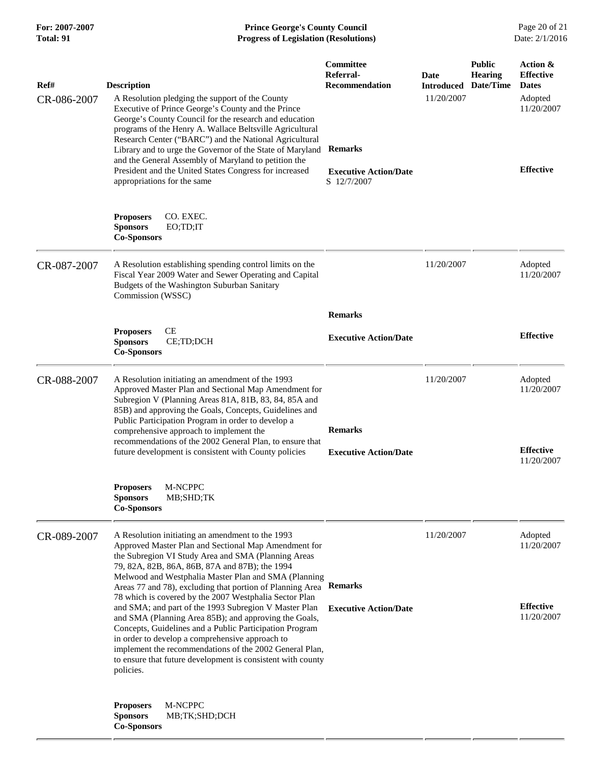**For: 2007-2007 Prince George's County Council** Page 20 of 21<br> **Progress of Legislation (Resolutions)** Date: 2/1/2016 **Total: 91 Progress of Legislation (Resolutions)** 

| Ref#<br>CR-086-2007 | <b>Description</b><br>A Resolution pledging the support of the County<br>Executive of Prince George's County and the Prince<br>George's County Council for the research and education<br>programs of the Henry A. Wallace Beltsville Agricultural<br>Research Center ("BARC") and the National Agricultural                                                                                                                                                                                                                                                                                                                                                                                                                                                                     | Committee<br>Referral-<br><b>Recommendation</b>               | Date<br><b>Introduced Date/Time</b><br>11/20/2007 | <b>Public</b><br><b>Hearing</b> | Action &<br><b>Effective</b><br><b>Dates</b><br>Adopted<br>11/20/2007 |
|---------------------|---------------------------------------------------------------------------------------------------------------------------------------------------------------------------------------------------------------------------------------------------------------------------------------------------------------------------------------------------------------------------------------------------------------------------------------------------------------------------------------------------------------------------------------------------------------------------------------------------------------------------------------------------------------------------------------------------------------------------------------------------------------------------------|---------------------------------------------------------------|---------------------------------------------------|---------------------------------|-----------------------------------------------------------------------|
|                     | Library and to urge the Governor of the State of Maryland<br>and the General Assembly of Maryland to petition the<br>President and the United States Congress for increased<br>appropriations for the same                                                                                                                                                                                                                                                                                                                                                                                                                                                                                                                                                                      | <b>Remarks</b><br><b>Executive Action/Date</b><br>S 12/7/2007 |                                                   |                                 | <b>Effective</b>                                                      |
|                     | <b>Proposers</b><br>CO. EXEC.<br><b>Sponsors</b><br>EO;TD;IT<br><b>Co-Sponsors</b>                                                                                                                                                                                                                                                                                                                                                                                                                                                                                                                                                                                                                                                                                              |                                                               |                                                   |                                 |                                                                       |
| CR-087-2007         | A Resolution establishing spending control limits on the<br>Fiscal Year 2009 Water and Sewer Operating and Capital<br>Budgets of the Washington Suburban Sanitary<br>Commission (WSSC)                                                                                                                                                                                                                                                                                                                                                                                                                                                                                                                                                                                          |                                                               | 11/20/2007                                        |                                 | Adopted<br>11/20/2007                                                 |
|                     |                                                                                                                                                                                                                                                                                                                                                                                                                                                                                                                                                                                                                                                                                                                                                                                 | <b>Remarks</b>                                                |                                                   |                                 |                                                                       |
|                     | CE<br><b>Proposers</b><br><b>Sponsors</b><br>CE;TD;DCH<br><b>Co-Sponsors</b>                                                                                                                                                                                                                                                                                                                                                                                                                                                                                                                                                                                                                                                                                                    | <b>Executive Action/Date</b>                                  |                                                   |                                 | <b>Effective</b>                                                      |
| CR-088-2007         | A Resolution initiating an amendment of the 1993<br>Approved Master Plan and Sectional Map Amendment for<br>Subregion V (Planning Areas 81A, 81B, 83, 84, 85A and<br>85B) and approving the Goals, Concepts, Guidelines and<br>Public Participation Program in order to develop a<br>comprehensive approach to implement the<br>recommendations of the 2002 General Plan, to ensure that<br>future development is consistent with County policies                                                                                                                                                                                                                                                                                                                               |                                                               | 11/20/2007                                        |                                 | Adopted<br>11/20/2007                                                 |
|                     |                                                                                                                                                                                                                                                                                                                                                                                                                                                                                                                                                                                                                                                                                                                                                                                 | <b>Remarks</b><br><b>Executive Action/Date</b>                |                                                   |                                 | <b>Effective</b><br>11/20/2007                                        |
|                     | <b>M-NCPPC</b><br><b>Proposers</b><br><b>Sponsors</b><br>MB;SHD;TK<br><b>Co-Sponsors</b>                                                                                                                                                                                                                                                                                                                                                                                                                                                                                                                                                                                                                                                                                        |                                                               |                                                   |                                 |                                                                       |
| CR-089-2007         | A Resolution initiating an amendment to the 1993<br>Approved Master Plan and Sectional Map Amendment for<br>the Subregion VI Study Area and SMA (Planning Areas<br>79, 82A, 82B, 86A, 86B, 87A and 87B); the 1994<br>Melwood and Westphalia Master Plan and SMA (Planning<br>Areas 77 and 78), excluding that portion of Planning Area Remarks<br>78 which is covered by the 2007 Westphalia Sector Plan<br>and SMA; and part of the 1993 Subregion V Master Plan<br>and SMA (Planning Area 85B); and approving the Goals,<br>Concepts, Guidelines and a Public Participation Program<br>in order to develop a comprehensive approach to<br>implement the recommendations of the 2002 General Plan,<br>to ensure that future development is consistent with county<br>policies. |                                                               | 11/20/2007                                        |                                 | Adopted<br>11/20/2007                                                 |
|                     |                                                                                                                                                                                                                                                                                                                                                                                                                                                                                                                                                                                                                                                                                                                                                                                 | <b>Executive Action/Date</b>                                  |                                                   |                                 | <b>Effective</b><br>11/20/2007                                        |
|                     | <b>Proposers</b><br>M-NCPPC<br><b>Sponsors</b><br>MB;TK;SHD;DCH<br><b>Co-Sponsors</b>                                                                                                                                                                                                                                                                                                                                                                                                                                                                                                                                                                                                                                                                                           |                                                               |                                                   |                                 |                                                                       |